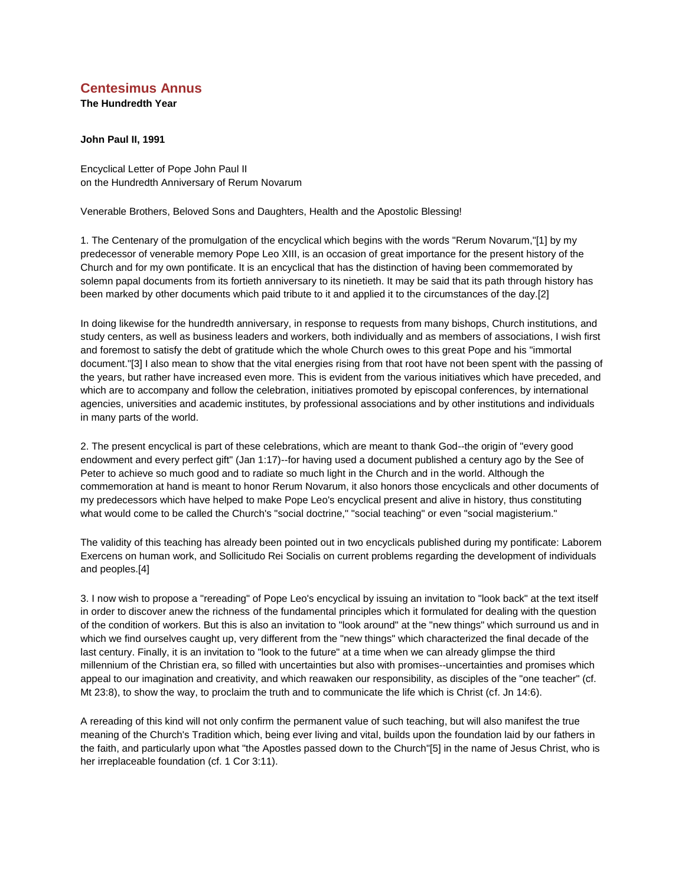## **Centesimus Annus**

**The Hundredth Year**

## **John Paul II, 1991**

Encyclical Letter of Pope John Paul II on the Hundredth Anniversary of Rerum Novarum

Venerable Brothers, Beloved Sons and Daughters, Health and the Apostolic Blessing!

1. The Centenary of the promulgation of the encyclical which begins with the words "Rerum Novarum,"[1] by my predecessor of venerable memory Pope Leo XIII, is an occasion of great importance for the present history of the Church and for my own pontificate. It is an encyclical that has the distinction of having been commemorated by solemn papal documents from its fortieth anniversary to its ninetieth. It may be said that its path through history has been marked by other documents which paid tribute to it and applied it to the circumstances of the day.[2]

In doing likewise for the hundredth anniversary, in response to requests from many bishops, Church institutions, and study centers, as well as business leaders and workers, both individually and as members of associations, I wish first and foremost to satisfy the debt of gratitude which the whole Church owes to this great Pope and his "immortal document."[3] I also mean to show that the vital energies rising from that root have not been spent with the passing of the years, but rather have increased even more. This is evident from the various initiatives which have preceded, and which are to accompany and follow the celebration, initiatives promoted by episcopal conferences, by international agencies, universities and academic institutes, by professional associations and by other institutions and individuals in many parts of the world.

2. The present encyclical is part of these celebrations, which are meant to thank God--the origin of "every good endowment and every perfect gift" (Jan 1:17)--for having used a document published a century ago by the See of Peter to achieve so much good and to radiate so much light in the Church and in the world. Although the commemoration at hand is meant to honor Rerum Novarum, it also honors those encyclicals and other documents of my predecessors which have helped to make Pope Leo's encyclical present and alive in history, thus constituting what would come to be called the Church's "social doctrine," "social teaching" or even "social magisterium."

The validity of this teaching has already been pointed out in two encyclicals published during my pontificate: Laborem Exercens on human work, and Sollicitudo Rei Socialis on current problems regarding the development of individuals and peoples.[4]

3. I now wish to propose a "rereading" of Pope Leo's encyclical by issuing an invitation to "look back" at the text itself in order to discover anew the richness of the fundamental principles which it formulated for dealing with the question of the condition of workers. But this is also an invitation to "look around" at the "new things" which surround us and in which we find ourselves caught up, very different from the "new things" which characterized the final decade of the last century. Finally, it is an invitation to "look to the future" at a time when we can already glimpse the third millennium of the Christian era, so filled with uncertainties but also with promises--uncertainties and promises which appeal to our imagination and creativity, and which reawaken our responsibility, as disciples of the "one teacher" (cf. Mt 23:8), to show the way, to proclaim the truth and to communicate the life which is Christ (cf. Jn 14:6).

A rereading of this kind will not only confirm the permanent value of such teaching, but will also manifest the true meaning of the Church's Tradition which, being ever living and vital, builds upon the foundation laid by our fathers in the faith, and particularly upon what "the Apostles passed down to the Church"[5] in the name of Jesus Christ, who is her irreplaceable foundation (cf. 1 Cor 3:11).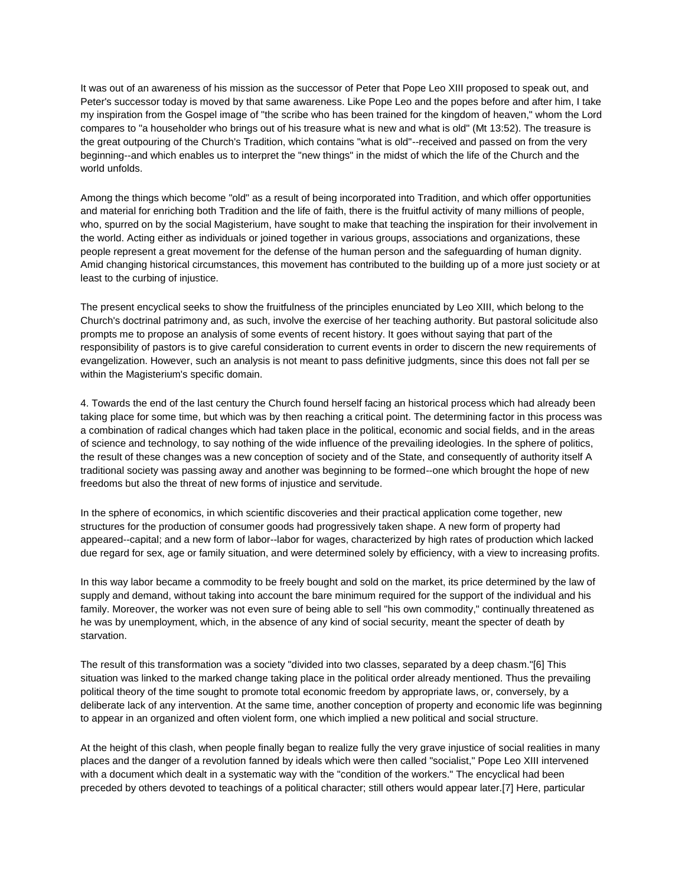It was out of an awareness of his mission as the successor of Peter that Pope Leo XIII proposed to speak out, and Peter's successor today is moved by that same awareness. Like Pope Leo and the popes before and after him, I take my inspiration from the Gospel image of "the scribe who has been trained for the kingdom of heaven," whom the Lord compares to "a householder who brings out of his treasure what is new and what is old" (Mt 13:52). The treasure is the great outpouring of the Church's Tradition, which contains "what is old"--received and passed on from the very beginning--and which enables us to interpret the "new things" in the midst of which the life of the Church and the world unfolds.

Among the things which become "old" as a result of being incorporated into Tradition, and which offer opportunities and material for enriching both Tradition and the life of faith, there is the fruitful activity of many millions of people, who, spurred on by the social Magisterium, have sought to make that teaching the inspiration for their involvement in the world. Acting either as individuals or joined together in various groups, associations and organizations, these people represent a great movement for the defense of the human person and the safeguarding of human dignity. Amid changing historical circumstances, this movement has contributed to the building up of a more just society or at least to the curbing of injustice.

The present encyclical seeks to show the fruitfulness of the principles enunciated by Leo XIII, which belong to the Church's doctrinal patrimony and, as such, involve the exercise of her teaching authority. But pastoral solicitude also prompts me to propose an analysis of some events of recent history. It goes without saying that part of the responsibility of pastors is to give careful consideration to current events in order to discern the new requirements of evangelization. However, such an analysis is not meant to pass definitive judgments, since this does not fall per se within the Magisterium's specific domain.

4. Towards the end of the last century the Church found herself facing an historical process which had already been taking place for some time, but which was by then reaching a critical point. The determining factor in this process was a combination of radical changes which had taken place in the political, economic and social fields, and in the areas of science and technology, to say nothing of the wide influence of the prevailing ideologies. In the sphere of politics, the result of these changes was a new conception of society and of the State, and consequently of authority itself A traditional society was passing away and another was beginning to be formed--one which brought the hope of new freedoms but also the threat of new forms of injustice and servitude.

In the sphere of economics, in which scientific discoveries and their practical application come together, new structures for the production of consumer goods had progressively taken shape. A new form of property had appeared--capital; and a new form of labor--labor for wages, characterized by high rates of production which lacked due regard for sex, age or family situation, and were determined solely by efficiency, with a view to increasing profits.

In this way labor became a commodity to be freely bought and sold on the market, its price determined by the law of supply and demand, without taking into account the bare minimum required for the support of the individual and his family. Moreover, the worker was not even sure of being able to sell "his own commodity," continually threatened as he was by unemployment, which, in the absence of any kind of social security, meant the specter of death by starvation.

The result of this transformation was a society "divided into two classes, separated by a deep chasm."[6] This situation was linked to the marked change taking place in the political order already mentioned. Thus the prevailing political theory of the time sought to promote total economic freedom by appropriate laws, or, conversely, by a deliberate lack of any intervention. At the same time, another conception of property and economic life was beginning to appear in an organized and often violent form, one which implied a new political and social structure.

At the height of this clash, when people finally began to realize fully the very grave injustice of social realities in many places and the danger of a revolution fanned by ideals which were then called "socialist," Pope Leo XIII intervened with a document which dealt in a systematic way with the "condition of the workers." The encyclical had been preceded by others devoted to teachings of a political character; still others would appear later.[7] Here, particular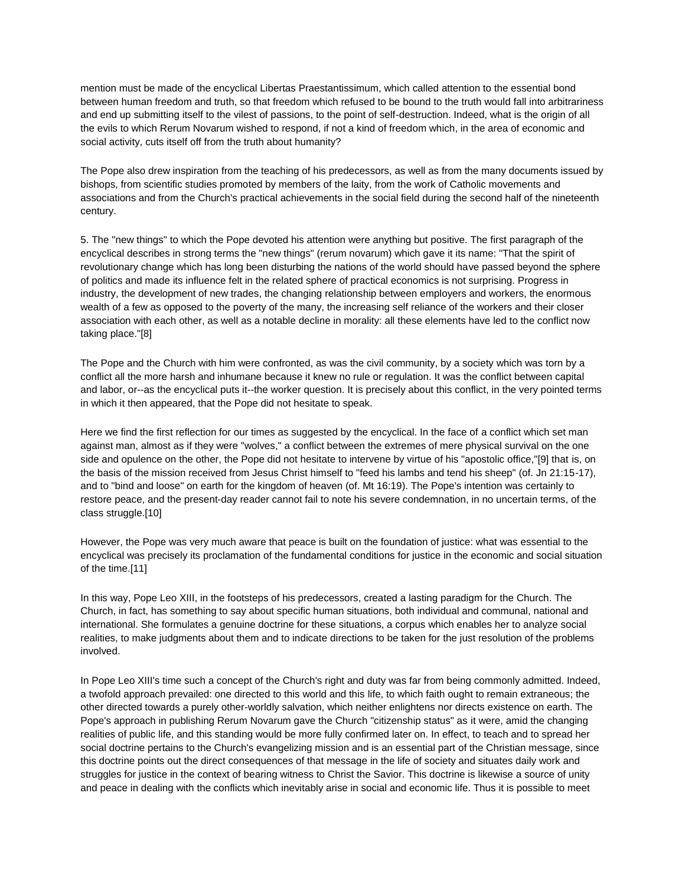mention must be made of the encyclical Libertas Praestantissimum, which called attention to the essential bond between human freedom and truth, so that freedom which refused to be bound to the truth would fall into arbitrariness and end up submitting itself to the vilest of passions, to the point of self-destruction. Indeed, what is the origin of all the evils to which Rerum Novarum wished to respond, if not a kind of freedom which, in the area of economic and social activity, cuts itself off from the truth about humanity?

The Pope also drew inspiration from the teaching of his predecessors, as well as from the many documents issued by bishops, from scientific studies promoted by members of the laity, from the work of Catholic movements and associations and from the Church's practical achievements in the social field during the second half of the nineteenth century.

5. The "new things" to which the Pope devoted his attention were anything but positive. The first paragraph of the encyclical describes in strong terms the "new things" (rerum novarum) which gave it its name: "That the spirit of revolutionary change which has long been disturbing the nations of the world should have passed beyond the sphere of politics and made its influence felt in the related sphere of practical economics is not surprising. Progress in industry, the development of new trades, the changing relationship between employers and workers, the enormous wealth of a few as opposed to the poverty of the many, the increasing self reliance of the workers and their closer association with each other, as well as a notable decline in morality: all these elements have led to the conflict now taking place."[8]

The Pope and the Church with him were confronted, as was the civil community, by a society which was torn by a conflict all the more harsh and inhumane because it knew no rule or regulation. It was the conflict between capital and labor, or--as the encyclical puts it--the worker question. It is precisely about this conflict, in the very pointed terms in which it then appeared, that the Pope did not hesitate to speak.

Here we find the first reflection for our times as suggested by the encyclical. In the face of a conflict which set man against man, almost as if they were "wolves," a conflict between the extremes of mere physical survival on the one side and opulence on the other, the Pope did not hesitate to intervene by virtue of his "apostolic office,"[9] that is, on the basis of the mission received from Jesus Christ himself to "feed his lambs and tend his sheep" (of. Jn 21:15-17), and to "bind and loose" on earth for the kingdom of heaven (of. Mt 16:19). The Pope's intention was certainly to restore peace, and the present-day reader cannot fail to note his severe condemnation, in no uncertain terms, of the class struggle.[10]

However, the Pope was very much aware that peace is built on the foundation of justice: what was essential to the encyclical was precisely its proclamation of the fundamental conditions for justice in the economic and social situation of the time.[11]

In this way, Pope Leo XIII, in the footsteps of his predecessors, created a lasting paradigm for the Church. The Church, in fact, has something to say about specific human situations, both individual and communal, national and international. She formulates a genuine doctrine for these situations, a corpus which enables her to analyze social realities, to make judgments about them and to indicate directions to be taken for the just resolution of the problems involved.

In Pope Leo XIII's time such a concept of the Church's right and duty was far from being commonly admitted. Indeed, a twofold approach prevailed: one directed to this world and this life, to which faith ought to remain extraneous; the other directed towards a purely other-worldly salvation, which neither enlightens nor directs existence on earth. The Pope's approach in publishing Rerum Novarum gave the Church "citizenship status" as it were, amid the changing realities of public life, and this standing would be more fully confirmed later on. In effect, to teach and to spread her social doctrine pertains to the Church's evangelizing mission and is an essential part of the Christian message, since this doctrine points out the direct consequences of that message in the life of society and situates daily work and struggles for justice in the context of bearing witness to Christ the Savior. This doctrine is likewise a source of unity and peace in dealing with the conflicts which inevitably arise in social and economic life. Thus it is possible to meet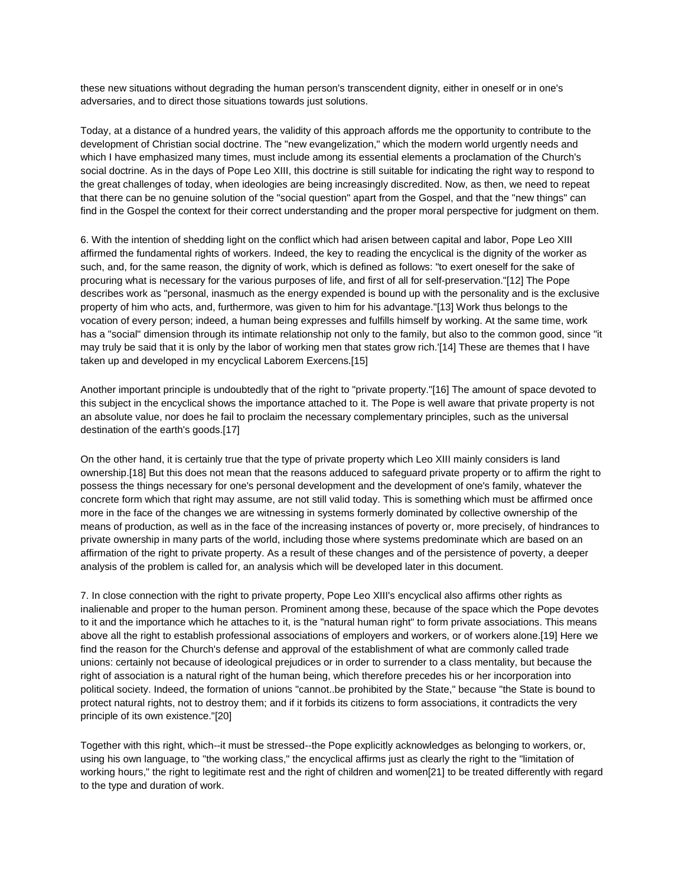these new situations without degrading the human person's transcendent dignity, either in oneself or in one's adversaries, and to direct those situations towards just solutions.

Today, at a distance of a hundred years, the validity of this approach affords me the opportunity to contribute to the development of Christian social doctrine. The "new evangelization," which the modern world urgently needs and which I have emphasized many times, must include among its essential elements a proclamation of the Church's social doctrine. As in the days of Pope Leo XIII, this doctrine is still suitable for indicating the right way to respond to the great challenges of today, when ideologies are being increasingly discredited. Now, as then, we need to repeat that there can be no genuine solution of the "social question" apart from the Gospel, and that the "new things" can find in the Gospel the context for their correct understanding and the proper moral perspective for judgment on them.

6. With the intention of shedding light on the conflict which had arisen between capital and labor, Pope Leo XIII affirmed the fundamental rights of workers. Indeed, the key to reading the encyclical is the dignity of the worker as such, and, for the same reason, the dignity of work, which is defined as follows: "to exert oneself for the sake of procuring what is necessary for the various purposes of life, and first of all for self-preservation."[12] The Pope describes work as "personal, inasmuch as the energy expended is bound up with the personality and is the exclusive property of him who acts, and, furthermore, was given to him for his advantage."[13] Work thus belongs to the vocation of every person; indeed, a human being expresses and fulfills himself by working. At the same time, work has a "social" dimension through its intimate relationship not only to the family, but also to the common good, since "it may truly be said that it is only by the labor of working men that states grow rich.'[14] These are themes that I have taken up and developed in my encyclical Laborem Exercens.[15]

Another important principle is undoubtedly that of the right to "private property."[16] The amount of space devoted to this subject in the encyclical shows the importance attached to it. The Pope is well aware that private property is not an absolute value, nor does he fail to proclaim the necessary complementary principles, such as the universal destination of the earth's goods.[17]

On the other hand, it is certainly true that the type of private property which Leo XIII mainly considers is land ownership.[18] But this does not mean that the reasons adduced to safeguard private property or to affirm the right to possess the things necessary for one's personal development and the development of one's family, whatever the concrete form which that right may assume, are not still valid today. This is something which must be affirmed once more in the face of the changes we are witnessing in systems formerly dominated by collective ownership of the means of production, as well as in the face of the increasing instances of poverty or, more precisely, of hindrances to private ownership in many parts of the world, including those where systems predominate which are based on an affirmation of the right to private property. As a result of these changes and of the persistence of poverty, a deeper analysis of the problem is called for, an analysis which will be developed later in this document.

7. In close connection with the right to private property, Pope Leo XIII's encyclical also affirms other rights as inalienable and proper to the human person. Prominent among these, because of the space which the Pope devotes to it and the importance which he attaches to it, is the "natural human right" to form private associations. This means above all the right to establish professional associations of employers and workers, or of workers alone.[19] Here we find the reason for the Church's defense and approval of the establishment of what are commonly called trade unions: certainly not because of ideological prejudices or in order to surrender to a class mentality, but because the right of association is a natural right of the human being, which therefore precedes his or her incorporation into political society. Indeed, the formation of unions "cannot..be prohibited by the State," because "the State is bound to protect natural rights, not to destroy them; and if it forbids its citizens to form associations, it contradicts the very principle of its own existence."[20]

Together with this right, which--it must be stressed--the Pope explicitly acknowledges as belonging to workers, or, using his own language, to "the working class," the encyclical affirms just as clearly the right to the "limitation of working hours," the right to legitimate rest and the right of children and women[21] to be treated differently with regard to the type and duration of work.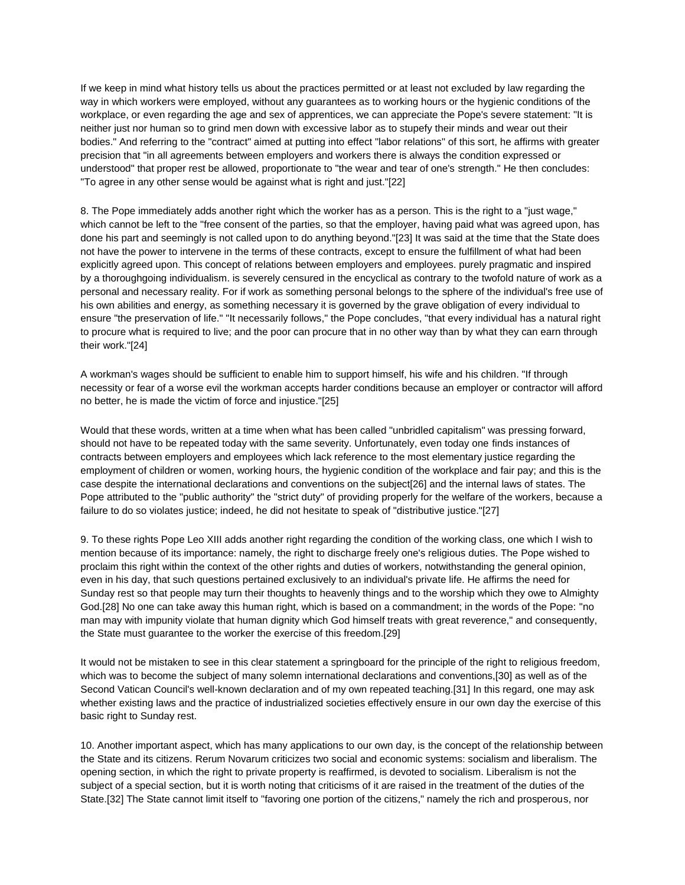If we keep in mind what history tells us about the practices permitted or at least not excluded by law regarding the way in which workers were employed, without any guarantees as to working hours or the hygienic conditions of the workplace, or even regarding the age and sex of apprentices, we can appreciate the Pope's severe statement: "It is neither just nor human so to grind men down with excessive labor as to stupefy their minds and wear out their bodies." And referring to the "contract" aimed at putting into effect "labor relations" of this sort, he affirms with greater precision that "in all agreements between employers and workers there is always the condition expressed or understood" that proper rest be allowed, proportionate to "the wear and tear of one's strength." He then concludes: "To agree in any other sense would be against what is right and just."[22]

8. The Pope immediately adds another right which the worker has as a person. This is the right to a "just wage," which cannot be left to the "free consent of the parties, so that the employer, having paid what was agreed upon, has done his part and seemingly is not called upon to do anything beyond."[23] It was said at the time that the State does not have the power to intervene in the terms of these contracts, except to ensure the fulfillment of what had been explicitly agreed upon. This concept of relations between employers and employees. purely pragmatic and inspired by a thoroughgoing individualism. is severely censured in the encyclical as contrary to the twofold nature of work as a personal and necessary reality. For if work as something personal belongs to the sphere of the individual's free use of his own abilities and energy, as something necessary it is governed by the grave obligation of every individual to ensure "the preservation of life." "It necessarily follows," the Pope concludes, "that every individual has a natural right to procure what is required to live; and the poor can procure that in no other way than by what they can earn through their work."[24]

A workman's wages should be sufficient to enable him to support himself, his wife and his children. "If through necessity or fear of a worse evil the workman accepts harder conditions because an employer or contractor will afford no better, he is made the victim of force and injustice."[25]

Would that these words, written at a time when what has been called "unbridled capitalism" was pressing forward, should not have to be repeated today with the same severity. Unfortunately, even today one finds instances of contracts between employers and employees which lack reference to the most elementary justice regarding the employment of children or women, working hours, the hygienic condition of the workplace and fair pay; and this is the case despite the international declarations and conventions on the subject[26] and the internal laws of states. The Pope attributed to the "public authority" the "strict duty" of providing properly for the welfare of the workers, because a failure to do so violates justice; indeed, he did not hesitate to speak of "distributive justice."[27]

9. To these rights Pope Leo XIII adds another right regarding the condition of the working class, one which I wish to mention because of its importance: namely, the right to discharge freely one's religious duties. The Pope wished to proclaim this right within the context of the other rights and duties of workers, notwithstanding the general opinion, even in his day, that such questions pertained exclusively to an individual's private life. He affirms the need for Sunday rest so that people may turn their thoughts to heavenly things and to the worship which they owe to Almighty God.[28] No one can take away this human right, which is based on a commandment; in the words of the Pope: "no man may with impunity violate that human dignity which God himself treats with great reverence," and consequently, the State must guarantee to the worker the exercise of this freedom.[29]

It would not be mistaken to see in this clear statement a springboard for the principle of the right to religious freedom, which was to become the subject of many solemn international declarations and conventions,[30] as well as of the Second Vatican Council's well-known declaration and of my own repeated teaching.[31] In this regard, one may ask whether existing laws and the practice of industrialized societies effectively ensure in our own day the exercise of this basic right to Sunday rest.

10. Another important aspect, which has many applications to our own day, is the concept of the relationship between the State and its citizens. Rerum Novarum criticizes two social and economic systems: socialism and liberalism. The opening section, in which the right to private property is reaffirmed, is devoted to socialism. Liberalism is not the subject of a special section, but it is worth noting that criticisms of it are raised in the treatment of the duties of the State.[32] The State cannot limit itself to "favoring one portion of the citizens," namely the rich and prosperous, nor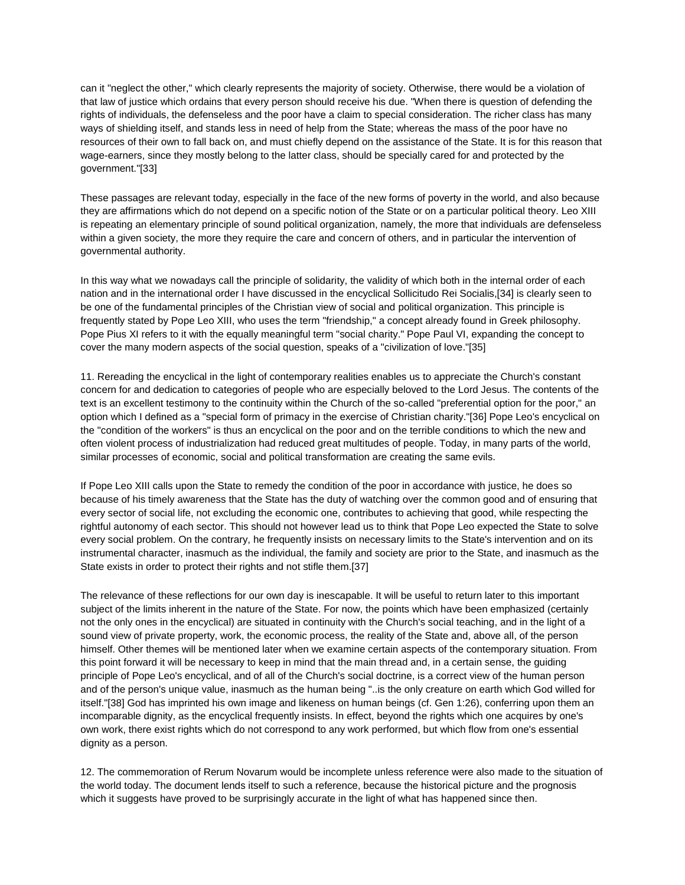can it "neglect the other," which clearly represents the majority of society. Otherwise, there would be a violation of that law of justice which ordains that every person should receive his due. "When there is question of defending the rights of individuals, the defenseless and the poor have a claim to special consideration. The richer class has many ways of shielding itself, and stands less in need of help from the State; whereas the mass of the poor have no resources of their own to fall back on, and must chiefly depend on the assistance of the State. It is for this reason that wage-earners, since they mostly belong to the latter class, should be specially cared for and protected by the government."[33]

These passages are relevant today, especially in the face of the new forms of poverty in the world, and also because they are affirmations which do not depend on a specific notion of the State or on a particular political theory. Leo XIII is repeating an elementary principle of sound political organization, namely, the more that individuals are defenseless within a given society, the more they require the care and concern of others, and in particular the intervention of governmental authority.

In this way what we nowadays call the principle of solidarity, the validity of which both in the internal order of each nation and in the international order I have discussed in the encyclical Sollicitudo Rei Socialis,[34] is clearly seen to be one of the fundamental principles of the Christian view of social and political organization. This principle is frequently stated by Pope Leo XIII, who uses the term "friendship," a concept already found in Greek philosophy. Pope Pius XI refers to it with the equally meaningful term "social charity." Pope Paul VI, expanding the concept to cover the many modern aspects of the social question, speaks of a "civilization of love."[35]

11. Rereading the encyclical in the light of contemporary realities enables us to appreciate the Church's constant concern for and dedication to categories of people who are especially beloved to the Lord Jesus. The contents of the text is an excellent testimony to the continuity within the Church of the so-called "preferential option for the poor," an option which I defined as a "special form of primacy in the exercise of Christian charity."[36] Pope Leo's encyclical on the "condition of the workers" is thus an encyclical on the poor and on the terrible conditions to which the new and often violent process of industrialization had reduced great multitudes of people. Today, in many parts of the world, similar processes of economic, social and political transformation are creating the same evils.

If Pope Leo XIII calls upon the State to remedy the condition of the poor in accordance with justice, he does so because of his timely awareness that the State has the duty of watching over the common good and of ensuring that every sector of social life, not excluding the economic one, contributes to achieving that good, while respecting the rightful autonomy of each sector. This should not however lead us to think that Pope Leo expected the State to solve every social problem. On the contrary, he frequently insists on necessary limits to the State's intervention and on its instrumental character, inasmuch as the individual, the family and society are prior to the State, and inasmuch as the State exists in order to protect their rights and not stifle them.[37]

The relevance of these reflections for our own day is inescapable. It will be useful to return later to this important subject of the limits inherent in the nature of the State. For now, the points which have been emphasized (certainly not the only ones in the encyclical) are situated in continuity with the Church's social teaching, and in the light of a sound view of private property, work, the economic process, the reality of the State and, above all, of the person himself. Other themes will be mentioned later when we examine certain aspects of the contemporary situation. From this point forward it will be necessary to keep in mind that the main thread and, in a certain sense, the guiding principle of Pope Leo's encyclical, and of all of the Church's social doctrine, is a correct view of the human person and of the person's unique value, inasmuch as the human being "..is the only creature on earth which God willed for itself."[38] God has imprinted his own image and likeness on human beings (cf. Gen 1:26), conferring upon them an incomparable dignity, as the encyclical frequently insists. In effect, beyond the rights which one acquires by one's own work, there exist rights which do not correspond to any work performed, but which flow from one's essential dignity as a person.

12. The commemoration of Rerum Novarum would be incomplete unless reference were also made to the situation of the world today. The document lends itself to such a reference, because the historical picture and the prognosis which it suggests have proved to be surprisingly accurate in the light of what has happened since then.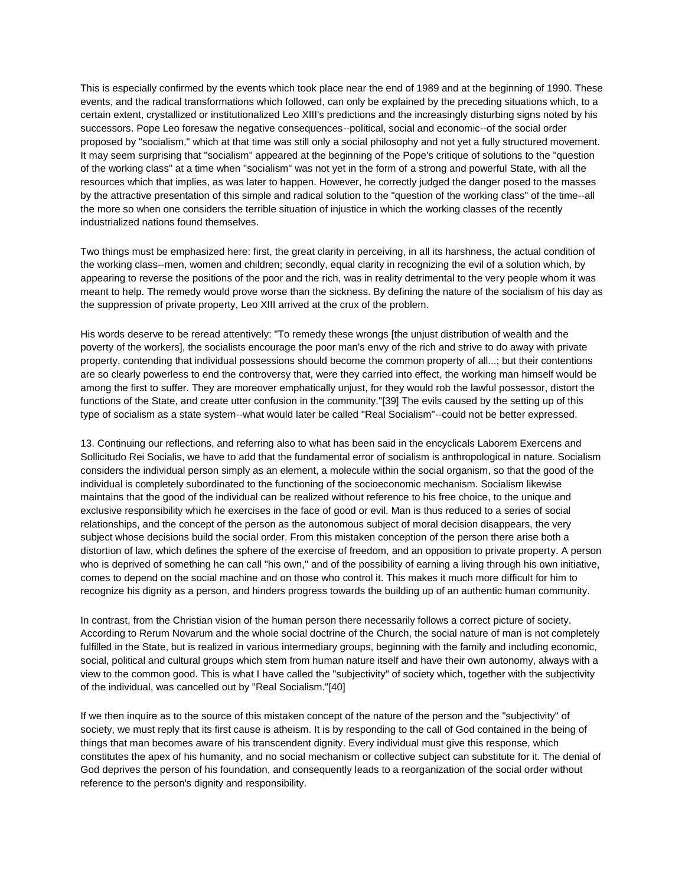This is especially confirmed by the events which took place near the end of 1989 and at the beginning of 1990. These events, and the radical transformations which followed, can only be explained by the preceding situations which, to a certain extent, crystallized or institutionalized Leo XIII's predictions and the increasingly disturbing signs noted by his successors. Pope Leo foresaw the negative consequences--political, social and economic--of the social order proposed by "socialism," which at that time was still only a social philosophy and not yet a fully structured movement. It may seem surprising that "socialism" appeared at the beginning of the Pope's critique of solutions to the "question of the working class" at a time when "socialism" was not yet in the form of a strong and powerful State, with all the resources which that implies, as was later to happen. However, he correctly judged the danger posed to the masses by the attractive presentation of this simple and radical solution to the "question of the working class" of the time--all the more so when one considers the terrible situation of injustice in which the working classes of the recently industrialized nations found themselves.

Two things must be emphasized here: first, the great clarity in perceiving, in all its harshness, the actual condition of the working class--men, women and children; secondly, equal clarity in recognizing the evil of a solution which, by appearing to reverse the positions of the poor and the rich, was in reality detrimental to the very people whom it was meant to help. The remedy would prove worse than the sickness. By defining the nature of the socialism of his day as the suppression of private property, Leo XIII arrived at the crux of the problem.

His words deserve to be reread attentively: "To remedy these wrongs [the unjust distribution of wealth and the poverty of the workers], the socialists encourage the poor man's envy of the rich and strive to do away with private property, contending that individual possessions should become the common property of all...; but their contentions are so clearly powerless to end the controversy that, were they carried into effect, the working man himself would be among the first to suffer. They are moreover emphatically unjust, for they would rob the lawful possessor, distort the functions of the State, and create utter confusion in the community."[39] The evils caused by the setting up of this type of socialism as a state system--what would later be called "Real Socialism"--could not be better expressed.

13. Continuing our reflections, and referring also to what has been said in the encyclicals Laborem Exercens and Sollicitudo Rei Socialis, we have to add that the fundamental error of socialism is anthropological in nature. Socialism considers the individual person simply as an element, a molecule within the social organism, so that the good of the individual is completely subordinated to the functioning of the socioeconomic mechanism. Socialism likewise maintains that the good of the individual can be realized without reference to his free choice, to the unique and exclusive responsibility which he exercises in the face of good or evil. Man is thus reduced to a series of social relationships, and the concept of the person as the autonomous subject of moral decision disappears, the very subject whose decisions build the social order. From this mistaken conception of the person there arise both a distortion of law, which defines the sphere of the exercise of freedom, and an opposition to private property. A person who is deprived of something he can call "his own," and of the possibility of earning a living through his own initiative, comes to depend on the social machine and on those who control it. This makes it much more difficult for him to recognize his dignity as a person, and hinders progress towards the building up of an authentic human community.

In contrast, from the Christian vision of the human person there necessarily follows a correct picture of society. According to Rerum Novarum and the whole social doctrine of the Church, the social nature of man is not completely fulfilled in the State, but is realized in various intermediary groups, beginning with the family and including economic, social, political and cultural groups which stem from human nature itself and have their own autonomy, always with a view to the common good. This is what I have called the "subjectivity" of society which, together with the subjectivity of the individual, was cancelled out by "Real Socialism."[40]

If we then inquire as to the source of this mistaken concept of the nature of the person and the "subjectivity" of society, we must reply that its first cause is atheism. It is by responding to the call of God contained in the being of things that man becomes aware of his transcendent dignity. Every individual must give this response, which constitutes the apex of his humanity, and no social mechanism or collective subject can substitute for it. The denial of God deprives the person of his foundation, and consequently leads to a reorganization of the social order without reference to the person's dignity and responsibility.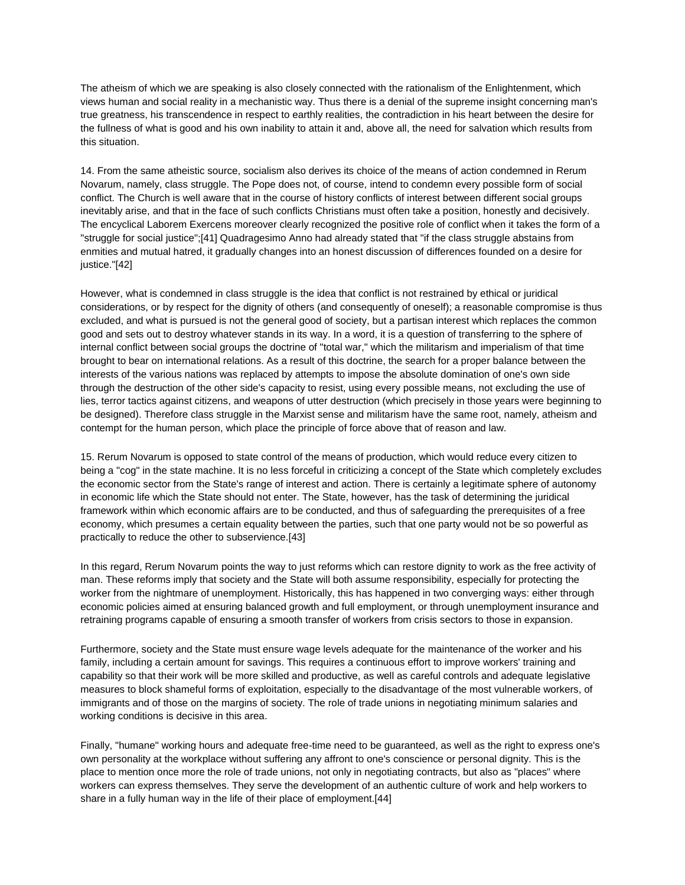The atheism of which we are speaking is also closely connected with the rationalism of the Enlightenment, which views human and social reality in a mechanistic way. Thus there is a denial of the supreme insight concerning man's true greatness, his transcendence in respect to earthly realities, the contradiction in his heart between the desire for the fullness of what is good and his own inability to attain it and, above all, the need for salvation which results from this situation.

14. From the same atheistic source, socialism also derives its choice of the means of action condemned in Rerum Novarum, namely, class struggle. The Pope does not, of course, intend to condemn every possible form of social conflict. The Church is well aware that in the course of history conflicts of interest between different social groups inevitably arise, and that in the face of such conflicts Christians must often take a position, honestly and decisively. The encyclical Laborem Exercens moreover clearly recognized the positive role of conflict when it takes the form of a "struggle for social justice";[41] Quadragesimo Anno had already stated that "if the class struggle abstains from enmities and mutual hatred, it gradually changes into an honest discussion of differences founded on a desire for justice."[42]

However, what is condemned in class struggle is the idea that conflict is not restrained by ethical or juridical considerations, or by respect for the dignity of others (and consequently of oneself); a reasonable compromise is thus excluded, and what is pursued is not the general good of society, but a partisan interest which replaces the common good and sets out to destroy whatever stands in its way. In a word, it is a question of transferring to the sphere of internal conflict between social groups the doctrine of "total war," which the militarism and imperialism of that time brought to bear on international relations. As a result of this doctrine, the search for a proper balance between the interests of the various nations was replaced by attempts to impose the absolute domination of one's own side through the destruction of the other side's capacity to resist, using every possible means, not excluding the use of lies, terror tactics against citizens, and weapons of utter destruction (which precisely in those years were beginning to be designed). Therefore class struggle in the Marxist sense and militarism have the same root, namely, atheism and contempt for the human person, which place the principle of force above that of reason and law.

15. Rerum Novarum is opposed to state control of the means of production, which would reduce every citizen to being a "cog" in the state machine. It is no less forceful in criticizing a concept of the State which completely excludes the economic sector from the State's range of interest and action. There is certainly a legitimate sphere of autonomy in economic life which the State should not enter. The State, however, has the task of determining the juridical framework within which economic affairs are to be conducted, and thus of safeguarding the prerequisites of a free economy, which presumes a certain equality between the parties, such that one party would not be so powerful as practically to reduce the other to subservience.[43]

In this regard, Rerum Novarum points the way to just reforms which can restore dignity to work as the free activity of man. These reforms imply that society and the State will both assume responsibility, especially for protecting the worker from the nightmare of unemployment. Historically, this has happened in two converging ways: either through economic policies aimed at ensuring balanced growth and full employment, or through unemployment insurance and retraining programs capable of ensuring a smooth transfer of workers from crisis sectors to those in expansion.

Furthermore, society and the State must ensure wage levels adequate for the maintenance of the worker and his family, including a certain amount for savings. This requires a continuous effort to improve workers' training and capability so that their work will be more skilled and productive, as well as careful controls and adequate legislative measures to block shameful forms of exploitation, especially to the disadvantage of the most vulnerable workers, of immigrants and of those on the margins of society. The role of trade unions in negotiating minimum salaries and working conditions is decisive in this area.

Finally, "humane" working hours and adequate free-time need to be guaranteed, as well as the right to express one's own personality at the workplace without suffering any affront to one's conscience or personal dignity. This is the place to mention once more the role of trade unions, not only in negotiating contracts, but also as "places" where workers can express themselves. They serve the development of an authentic culture of work and help workers to share in a fully human way in the life of their place of employment.[44]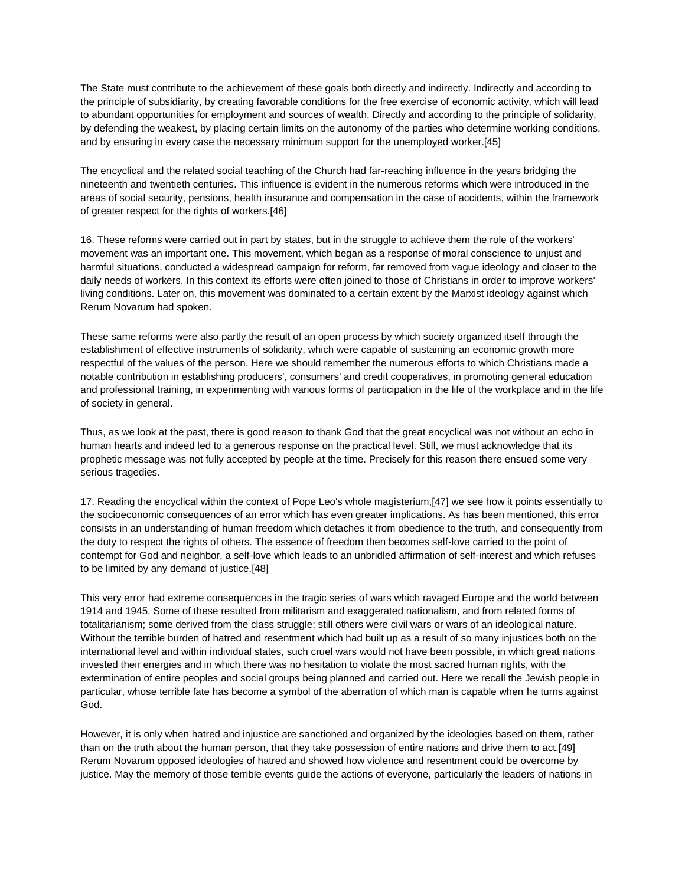The State must contribute to the achievement of these goals both directly and indirectly. Indirectly and according to the principle of subsidiarity, by creating favorable conditions for the free exercise of economic activity, which will lead to abundant opportunities for employment and sources of wealth. Directly and according to the principle of solidarity, by defending the weakest, by placing certain limits on the autonomy of the parties who determine working conditions, and by ensuring in every case the necessary minimum support for the unemployed worker.[45]

The encyclical and the related social teaching of the Church had far-reaching influence in the years bridging the nineteenth and twentieth centuries. This influence is evident in the numerous reforms which were introduced in the areas of social security, pensions, health insurance and compensation in the case of accidents, within the framework of greater respect for the rights of workers.[46]

16. These reforms were carried out in part by states, but in the struggle to achieve them the role of the workers' movement was an important one. This movement, which began as a response of moral conscience to unjust and harmful situations, conducted a widespread campaign for reform, far removed from vague ideology and closer to the daily needs of workers. In this context its efforts were often joined to those of Christians in order to improve workers' living conditions. Later on, this movement was dominated to a certain extent by the Marxist ideology against which Rerum Novarum had spoken.

These same reforms were also partly the result of an open process by which society organized itself through the establishment of effective instruments of solidarity, which were capable of sustaining an economic growth more respectful of the values of the person. Here we should remember the numerous efforts to which Christians made a notable contribution in establishing producers', consumers' and credit cooperatives, in promoting general education and professional training, in experimenting with various forms of participation in the life of the workplace and in the life of society in general.

Thus, as we look at the past, there is good reason to thank God that the great encyclical was not without an echo in human hearts and indeed led to a generous response on the practical level. Still, we must acknowledge that its prophetic message was not fully accepted by people at the time. Precisely for this reason there ensued some very serious tragedies.

17. Reading the encyclical within the context of Pope Leo's whole magisterium,[47] we see how it points essentially to the socioeconomic consequences of an error which has even greater implications. As has been mentioned, this error consists in an understanding of human freedom which detaches it from obedience to the truth, and consequently from the duty to respect the rights of others. The essence of freedom then becomes self-love carried to the point of contempt for God and neighbor, a self-love which leads to an unbridled affirmation of self-interest and which refuses to be limited by any demand of justice.[48]

This very error had extreme consequences in the tragic series of wars which ravaged Europe and the world between 1914 and 1945. Some of these resulted from militarism and exaggerated nationalism, and from related forms of totalitarianism; some derived from the class struggle; still others were civil wars or wars of an ideological nature. Without the terrible burden of hatred and resentment which had built up as a result of so many injustices both on the international level and within individual states, such cruel wars would not have been possible, in which great nations invested their energies and in which there was no hesitation to violate the most sacred human rights, with the extermination of entire peoples and social groups being planned and carried out. Here we recall the Jewish people in particular, whose terrible fate has become a symbol of the aberration of which man is capable when he turns against God.

However, it is only when hatred and injustice are sanctioned and organized by the ideologies based on them, rather than on the truth about the human person, that they take possession of entire nations and drive them to act.[49] Rerum Novarum opposed ideologies of hatred and showed how violence and resentment could be overcome by justice. May the memory of those terrible events guide the actions of everyone, particularly the leaders of nations in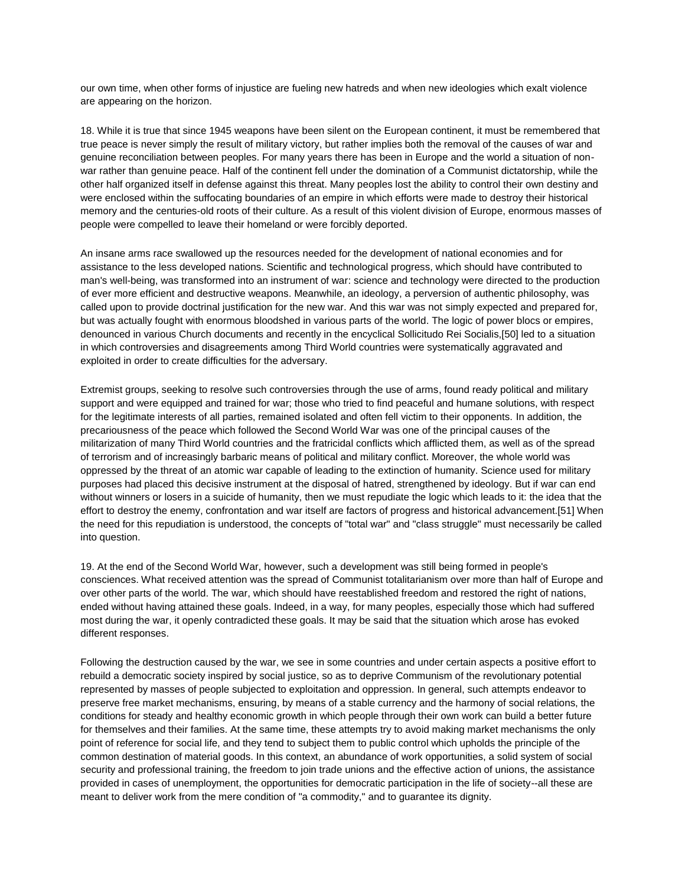our own time, when other forms of injustice are fueling new hatreds and when new ideologies which exalt violence are appearing on the horizon.

18. While it is true that since 1945 weapons have been silent on the European continent, it must be remembered that true peace is never simply the result of military victory, but rather implies both the removal of the causes of war and genuine reconciliation between peoples. For many years there has been in Europe and the world a situation of nonwar rather than genuine peace. Half of the continent fell under the domination of a Communist dictatorship, while the other half organized itself in defense against this threat. Many peoples lost the ability to control their own destiny and were enclosed within the suffocating boundaries of an empire in which efforts were made to destroy their historical memory and the centuries-old roots of their culture. As a result of this violent division of Europe, enormous masses of people were compelled to leave their homeland or were forcibly deported.

An insane arms race swallowed up the resources needed for the development of national economies and for assistance to the less developed nations. Scientific and technological progress, which should have contributed to man's well-being, was transformed into an instrument of war: science and technology were directed to the production of ever more efficient and destructive weapons. Meanwhile, an ideology, a perversion of authentic philosophy, was called upon to provide doctrinal justification for the new war. And this war was not simply expected and prepared for, but was actually fought with enormous bloodshed in various parts of the world. The logic of power blocs or empires, denounced in various Church documents and recently in the encyclical Sollicitudo Rei Socialis,[50] led to a situation in which controversies and disagreements among Third World countries were systematically aggravated and exploited in order to create difficulties for the adversary.

Extremist groups, seeking to resolve such controversies through the use of arms, found ready political and military support and were equipped and trained for war; those who tried to find peaceful and humane solutions, with respect for the legitimate interests of all parties, remained isolated and often fell victim to their opponents. In addition, the precariousness of the peace which followed the Second World War was one of the principal causes of the militarization of many Third World countries and the fratricidal conflicts which afflicted them, as well as of the spread of terrorism and of increasingly barbaric means of political and military conflict. Moreover, the whole world was oppressed by the threat of an atomic war capable of leading to the extinction of humanity. Science used for military purposes had placed this decisive instrument at the disposal of hatred, strengthened by ideology. But if war can end without winners or losers in a suicide of humanity, then we must repudiate the logic which leads to it: the idea that the effort to destroy the enemy, confrontation and war itself are factors of progress and historical advancement.[51] When the need for this repudiation is understood, the concepts of "total war" and "class struggle" must necessarily be called into question.

19. At the end of the Second World War, however, such a development was still being formed in people's consciences. What received attention was the spread of Communist totalitarianism over more than half of Europe and over other parts of the world. The war, which should have reestablished freedom and restored the right of nations, ended without having attained these goals. Indeed, in a way, for many peoples, especially those which had suffered most during the war, it openly contradicted these goals. It may be said that the situation which arose has evoked different responses.

Following the destruction caused by the war, we see in some countries and under certain aspects a positive effort to rebuild a democratic society inspired by social justice, so as to deprive Communism of the revolutionary potential represented by masses of people subjected to exploitation and oppression. In general, such attempts endeavor to preserve free market mechanisms, ensuring, by means of a stable currency and the harmony of social relations, the conditions for steady and healthy economic growth in which people through their own work can build a better future for themselves and their families. At the same time, these attempts try to avoid making market mechanisms the only point of reference for social life, and they tend to subject them to public control which upholds the principle of the common destination of material goods. In this context, an abundance of work opportunities, a solid system of social security and professional training, the freedom to join trade unions and the effective action of unions, the assistance provided in cases of unemployment, the opportunities for democratic participation in the life of society--all these are meant to deliver work from the mere condition of "a commodity," and to guarantee its dignity.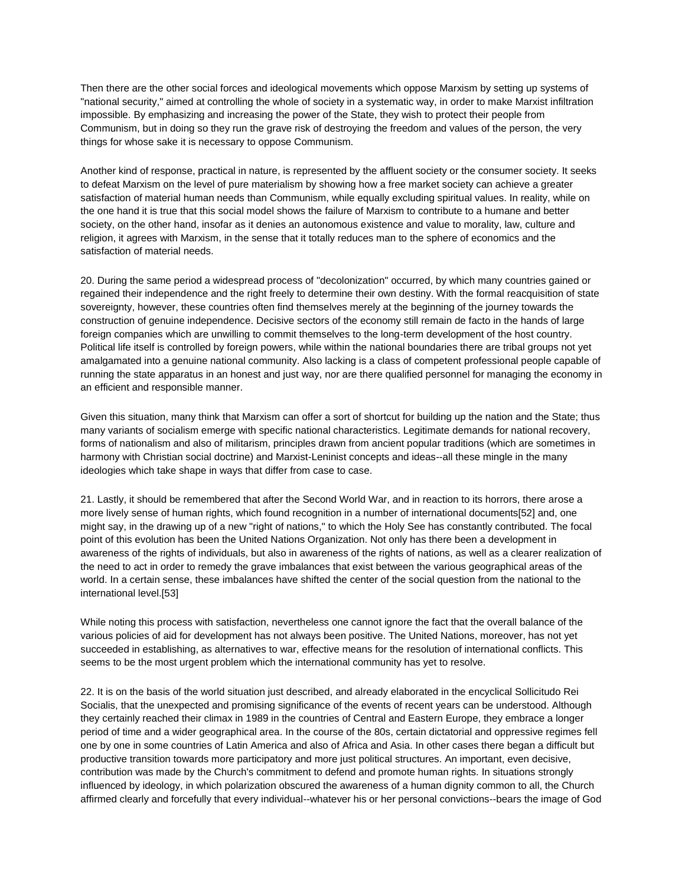Then there are the other social forces and ideological movements which oppose Marxism by setting up systems of "national security," aimed at controlling the whole of society in a systematic way, in order to make Marxist infiltration impossible. By emphasizing and increasing the power of the State, they wish to protect their people from Communism, but in doing so they run the grave risk of destroying the freedom and values of the person, the very things for whose sake it is necessary to oppose Communism.

Another kind of response, practical in nature, is represented by the affluent society or the consumer society. It seeks to defeat Marxism on the level of pure materialism by showing how a free market society can achieve a greater satisfaction of material human needs than Communism, while equally excluding spiritual values. In reality, while on the one hand it is true that this social model shows the failure of Marxism to contribute to a humane and better society, on the other hand, insofar as it denies an autonomous existence and value to morality, law, culture and religion, it agrees with Marxism, in the sense that it totally reduces man to the sphere of economics and the satisfaction of material needs.

20. During the same period a widespread process of "decolonization" occurred, by which many countries gained or regained their independence and the right freely to determine their own destiny. With the formal reacquisition of state sovereignty, however, these countries often find themselves merely at the beginning of the journey towards the construction of genuine independence. Decisive sectors of the economy still remain de facto in the hands of large foreign companies which are unwilling to commit themselves to the long-term development of the host country. Political life itself is controlled by foreign powers, while within the national boundaries there are tribal groups not yet amalgamated into a genuine national community. Also lacking is a class of competent professional people capable of running the state apparatus in an honest and just way, nor are there qualified personnel for managing the economy in an efficient and responsible manner.

Given this situation, many think that Marxism can offer a sort of shortcut for building up the nation and the State; thus many variants of socialism emerge with specific national characteristics. Legitimate demands for national recovery, forms of nationalism and also of militarism, principles drawn from ancient popular traditions (which are sometimes in harmony with Christian social doctrine) and Marxist-Leninist concepts and ideas--all these mingle in the many ideologies which take shape in ways that differ from case to case.

21. Lastly, it should be remembered that after the Second World War, and in reaction to its horrors, there arose a more lively sense of human rights, which found recognition in a number of international documents[52] and, one might say, in the drawing up of a new "right of nations," to which the Holy See has constantly contributed. The focal point of this evolution has been the United Nations Organization. Not only has there been a development in awareness of the rights of individuals, but also in awareness of the rights of nations, as well as a clearer realization of the need to act in order to remedy the grave imbalances that exist between the various geographical areas of the world. In a certain sense, these imbalances have shifted the center of the social question from the national to the international level.[53]

While noting this process with satisfaction, nevertheless one cannot ignore the fact that the overall balance of the various policies of aid for development has not always been positive. The United Nations, moreover, has not yet succeeded in establishing, as alternatives to war, effective means for the resolution of international conflicts. This seems to be the most urgent problem which the international community has yet to resolve.

22. It is on the basis of the world situation just described, and already elaborated in the encyclical Sollicitudo Rei Socialis, that the unexpected and promising significance of the events of recent years can be understood. Although they certainly reached their climax in 1989 in the countries of Central and Eastern Europe, they embrace a longer period of time and a wider geographical area. In the course of the 80s, certain dictatorial and oppressive regimes fell one by one in some countries of Latin America and also of Africa and Asia. In other cases there began a difficult but productive transition towards more participatory and more just political structures. An important, even decisive, contribution was made by the Church's commitment to defend and promote human rights. In situations strongly influenced by ideology, in which polarization obscured the awareness of a human dignity common to all, the Church affirmed clearly and forcefully that every individual--whatever his or her personal convictions--bears the image of God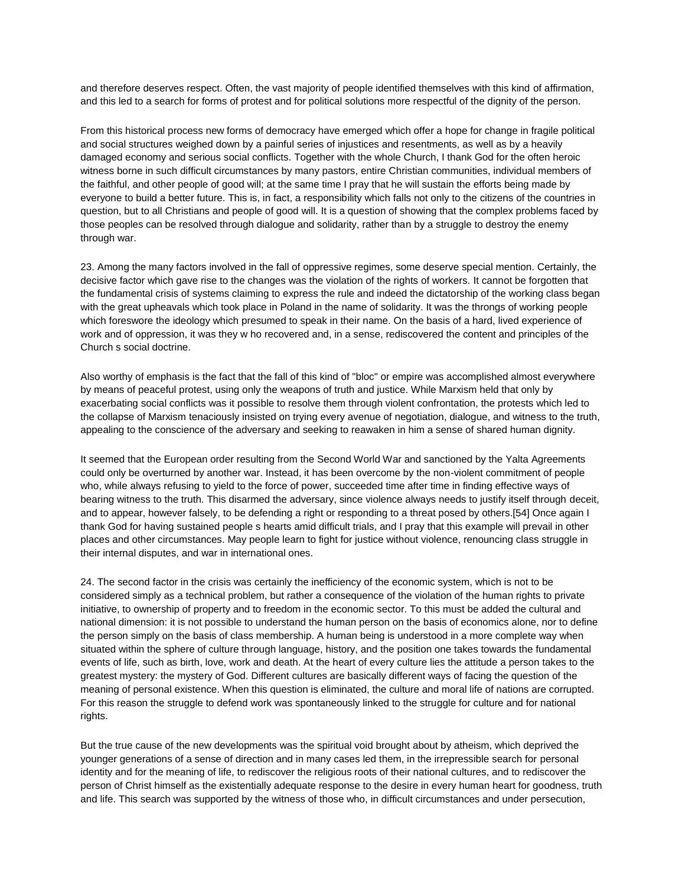and therefore deserves respect. Often, the vast majority of people identified themselves with this kind of affirmation, and this led to a search for forms of protest and for political solutions more respectful of the dignity of the person.

From this historical process new forms of democracy have emerged which offer a hope for change in fragile political and social structures weighed down by a painful series of injustices and resentments, as well as by a heavily damaged economy and serious social conflicts. Together with the whole Church, I thank God for the often heroic witness borne in such difficult circumstances by many pastors, entire Christian communities, individual members of the faithful, and other people of good will; at the same time I pray that he will sustain the efforts being made by everyone to build a better future. This is, in fact, a responsibility which falls not only to the citizens of the countries in question, but to all Christians and people of good will. It is a question of showing that the complex problems faced by those peoples can be resolved through dialogue and solidarity, rather than by a struggle to destroy the enemy through war.

23. Among the many factors involved in the fall of oppressive regimes, some deserve special mention. Certainly, the decisive factor which gave rise to the changes was the violation of the rights of workers. It cannot be forgotten that the fundamental crisis of systems claiming to express the rule and indeed the dictatorship of the working class began with the great upheavals which took place in Poland in the name of solidarity. It was the throngs of working people which foreswore the ideology which presumed to speak in their name. On the basis of a hard, lived experience of work and of oppression, it was they w ho recovered and, in a sense, rediscovered the content and principles of the Church s social doctrine.

Also worthy of emphasis is the fact that the fall of this kind of "bloc" or empire was accomplished almost everywhere by means of peaceful protest, using only the weapons of truth and justice. While Marxism held that only by exacerbating social conflicts was it possible to resolve them through violent confrontation, the protests which led to the collapse of Marxism tenaciously insisted on trying every avenue of negotiation, dialogue, and witness to the truth, appealing to the conscience of the adversary and seeking to reawaken in him a sense of shared human dignity.

It seemed that the European order resulting from the Second World War and sanctioned by the Yalta Agreements could only be overturned by another war. Instead, it has been overcome by the non-violent commitment of people who, while always refusing to yield to the force of power, succeeded time after time in finding effective ways of bearing witness to the truth. This disarmed the adversary, since violence always needs to justify itself through deceit, and to appear, however falsely, to be defending a right or responding to a threat posed by others.[54] Once again I thank God for having sustained people s hearts amid difficult trials, and I pray that this example will prevail in other places and other circumstances. May people learn to fight for justice without violence, renouncing class struggle in their internal disputes, and war in international ones.

24. The second factor in the crisis was certainly the inefficiency of the economic system, which is not to be considered simply as a technical problem, but rather a consequence of the violation of the human rights to private initiative, to ownership of property and to freedom in the economic sector. To this must be added the cultural and national dimension: it is not possible to understand the human person on the basis of economics alone, nor to define the person simply on the basis of class membership. A human being is understood in a more complete way when situated within the sphere of culture through language, history, and the position one takes towards the fundamental events of life, such as birth, love, work and death. At the heart of every culture lies the attitude a person takes to the greatest mystery: the mystery of God. Different cultures are basically different ways of facing the question of the meaning of personal existence. When this question is eliminated, the culture and moral life of nations are corrupted. For this reason the struggle to defend work was spontaneously linked to the struggle for culture and for national rights.

But the true cause of the new developments was the spiritual void brought about by atheism, which deprived the younger generations of a sense of direction and in many cases led them, in the irrepressible search for personal identity and for the meaning of life, to rediscover the religious roots of their national cultures, and to rediscover the person of Christ himself as the existentially adequate response to the desire in every human heart for goodness, truth and life. This search was supported by the witness of those who, in difficult circumstances and under persecution,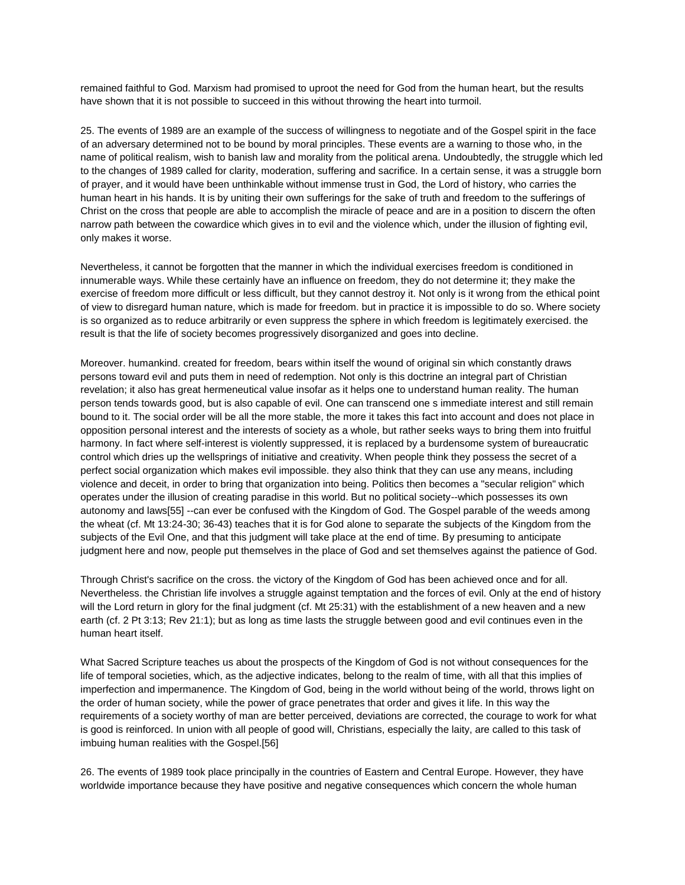remained faithful to God. Marxism had promised to uproot the need for God from the human heart, but the results have shown that it is not possible to succeed in this without throwing the heart into turmoil.

25. The events of 1989 are an example of the success of willingness to negotiate and of the Gospel spirit in the face of an adversary determined not to be bound by moral principles. These events are a warning to those who, in the name of political realism, wish to banish law and morality from the political arena. Undoubtedly, the struggle which led to the changes of 1989 called for clarity, moderation, suffering and sacrifice. In a certain sense, it was a struggle born of prayer, and it would have been unthinkable without immense trust in God, the Lord of history, who carries the human heart in his hands. It is by uniting their own sufferings for the sake of truth and freedom to the sufferings of Christ on the cross that people are able to accomplish the miracle of peace and are in a position to discern the often narrow path between the cowardice which gives in to evil and the violence which, under the illusion of fighting evil, only makes it worse.

Nevertheless, it cannot be forgotten that the manner in which the individual exercises freedom is conditioned in innumerable ways. While these certainly have an influence on freedom, they do not determine it; they make the exercise of freedom more difficult or less difficult, but they cannot destroy it. Not only is it wrong from the ethical point of view to disregard human nature, which is made for freedom. but in practice it is impossible to do so. Where society is so organized as to reduce arbitrarily or even suppress the sphere in which freedom is legitimately exercised. the result is that the life of society becomes progressively disorganized and goes into decline.

Moreover. humankind. created for freedom, bears within itself the wound of original sin which constantly draws persons toward evil and puts them in need of redemption. Not only is this doctrine an integral part of Christian revelation; it also has great hermeneutical value insofar as it helps one to understand human reality. The human person tends towards good, but is also capable of evil. One can transcend one s immediate interest and still remain bound to it. The social order will be all the more stable, the more it takes this fact into account and does not place in opposition personal interest and the interests of society as a whole, but rather seeks ways to bring them into fruitful harmony. In fact where self-interest is violently suppressed, it is replaced by a burdensome system of bureaucratic control which dries up the wellsprings of initiative and creativity. When people think they possess the secret of a perfect social organization which makes evil impossible. they also think that they can use any means, including violence and deceit, in order to bring that organization into being. Politics then becomes a "secular religion" which operates under the illusion of creating paradise in this world. But no political society--which possesses its own autonomy and laws[55] --can ever be confused with the Kingdom of God. The Gospel parable of the weeds among the wheat (cf. Mt 13:24-30; 36-43) teaches that it is for God alone to separate the subjects of the Kingdom from the subjects of the Evil One, and that this judgment will take place at the end of time. By presuming to anticipate judgment here and now, people put themselves in the place of God and set themselves against the patience of God.

Through Christ's sacrifice on the cross. the victory of the Kingdom of God has been achieved once and for all. Nevertheless. the Christian life involves a struggle against temptation and the forces of evil. Only at the end of history will the Lord return in glory for the final judgment (cf. Mt 25:31) with the establishment of a new heaven and a new earth (cf. 2 Pt 3:13; Rev 21:1); but as long as time lasts the struggle between good and evil continues even in the human heart itself.

What Sacred Scripture teaches us about the prospects of the Kingdom of God is not without consequences for the life of temporal societies, which, as the adjective indicates, belong to the realm of time, with all that this implies of imperfection and impermanence. The Kingdom of God, being in the world without being of the world, throws light on the order of human society, while the power of grace penetrates that order and gives it life. In this way the requirements of a society worthy of man are better perceived, deviations are corrected, the courage to work for what is good is reinforced. In union with all people of good will, Christians, especially the laity, are called to this task of imbuing human realities with the Gospel.[56]

26. The events of 1989 took place principally in the countries of Eastern and Central Europe. However, they have worldwide importance because they have positive and negative consequences which concern the whole human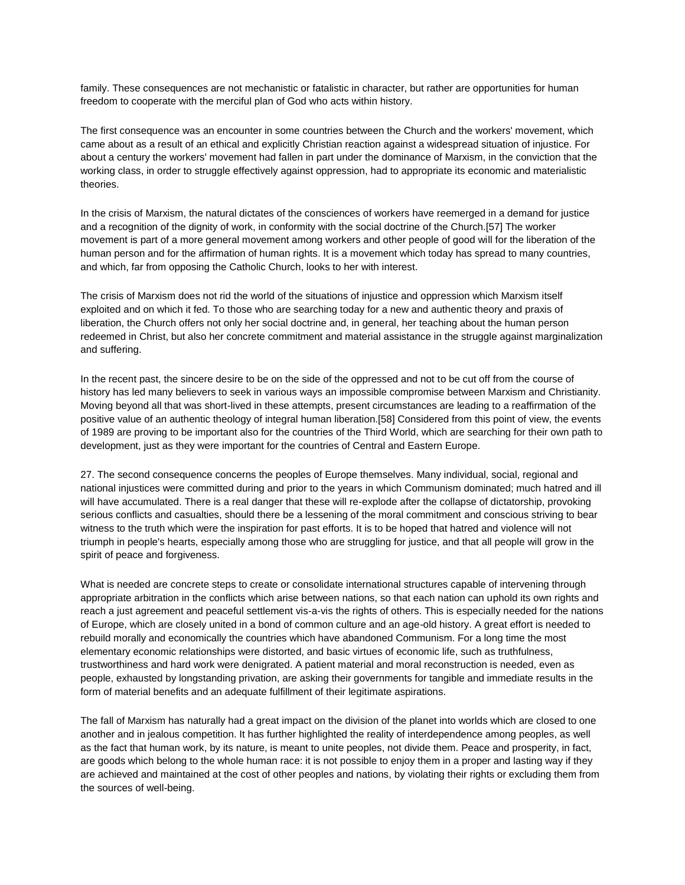family. These consequences are not mechanistic or fatalistic in character, but rather are opportunities for human freedom to cooperate with the merciful plan of God who acts within history.

The first consequence was an encounter in some countries between the Church and the workers' movement, which came about as a result of an ethical and explicitly Christian reaction against a widespread situation of injustice. For about a century the workers' movement had fallen in part under the dominance of Marxism, in the conviction that the working class, in order to struggle effectively against oppression, had to appropriate its economic and materialistic theories.

In the crisis of Marxism, the natural dictates of the consciences of workers have reemerged in a demand for justice and a recognition of the dignity of work, in conformity with the social doctrine of the Church.[57] The worker movement is part of a more general movement among workers and other people of good will for the liberation of the human person and for the affirmation of human rights. It is a movement which today has spread to many countries, and which, far from opposing the Catholic Church, looks to her with interest.

The crisis of Marxism does not rid the world of the situations of injustice and oppression which Marxism itself exploited and on which it fed. To those who are searching today for a new and authentic theory and praxis of liberation, the Church offers not only her social doctrine and, in general, her teaching about the human person redeemed in Christ, but also her concrete commitment and material assistance in the struggle against marginalization and suffering.

In the recent past, the sincere desire to be on the side of the oppressed and not to be cut off from the course of history has led many believers to seek in various ways an impossible compromise between Marxism and Christianity. Moving beyond all that was short-lived in these attempts, present circumstances are leading to a reaffirmation of the positive value of an authentic theology of integral human liberation.[58] Considered from this point of view, the events of 1989 are proving to be important also for the countries of the Third World, which are searching for their own path to development, just as they were important for the countries of Central and Eastern Europe.

27. The second consequence concerns the peoples of Europe themselves. Many individual, social, regional and national injustices were committed during and prior to the years in which Communism dominated; much hatred and ill will have accumulated. There is a real danger that these will re-explode after the collapse of dictatorship, provoking serious conflicts and casualties, should there be a lessening of the moral commitment and conscious striving to bear witness to the truth which were the inspiration for past efforts. It is to be hoped that hatred and violence will not triumph in people's hearts, especially among those who are struggling for justice, and that all people will grow in the spirit of peace and forgiveness.

What is needed are concrete steps to create or consolidate international structures capable of intervening through appropriate arbitration in the conflicts which arise between nations, so that each nation can uphold its own rights and reach a just agreement and peaceful settlement vis-a-vis the rights of others. This is especially needed for the nations of Europe, which are closely united in a bond of common culture and an age-old history. A great effort is needed to rebuild morally and economically the countries which have abandoned Communism. For a long time the most elementary economic relationships were distorted, and basic virtues of economic life, such as truthfulness, trustworthiness and hard work were denigrated. A patient material and moral reconstruction is needed, even as people, exhausted by longstanding privation, are asking their governments for tangible and immediate results in the form of material benefits and an adequate fulfillment of their legitimate aspirations.

The fall of Marxism has naturally had a great impact on the division of the planet into worlds which are closed to one another and in jealous competition. It has further highlighted the reality of interdependence among peoples, as well as the fact that human work, by its nature, is meant to unite peoples, not divide them. Peace and prosperity, in fact, are goods which belong to the whole human race: it is not possible to enjoy them in a proper and lasting way if they are achieved and maintained at the cost of other peoples and nations, by violating their rights or excluding them from the sources of well-being.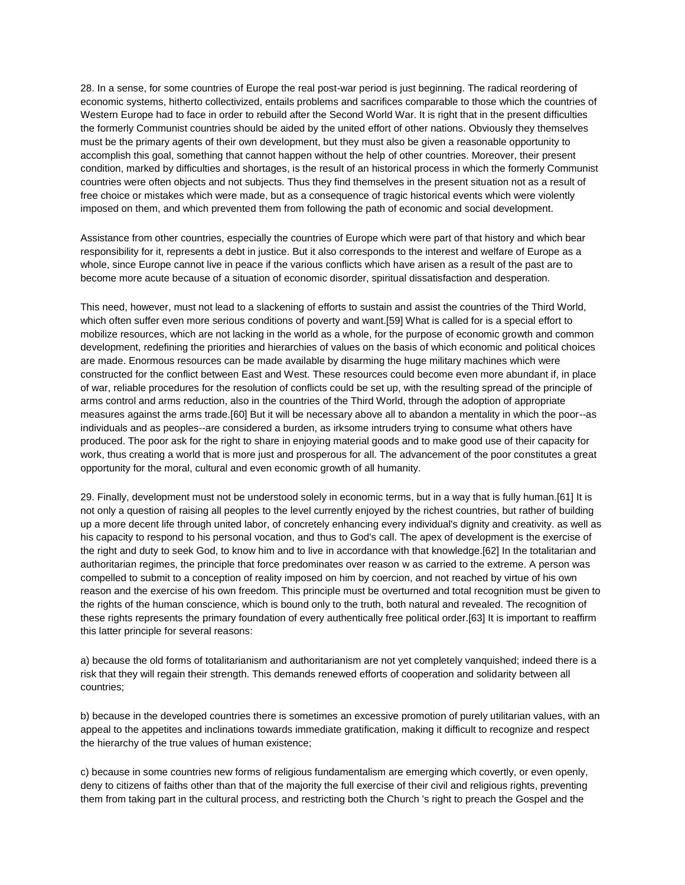28. In a sense, for some countries of Europe the real post-war period is just beginning. The radical reordering of economic systems, hitherto collectivized, entails problems and sacrifices comparable to those which the countries of Western Europe had to face in order to rebuild after the Second World War. It is right that in the present difficulties the formerly Communist countries should be aided by the united effort of other nations. Obviously they themselves must be the primary agents of their own development, but they must also be given a reasonable opportunity to accomplish this goal, something that cannot happen without the help of other countries. Moreover, their present condition, marked by difficulties and shortages, is the result of an historical process in which the formerly Communist countries were often objects and not subjects. Thus they find themselves in the present situation not as a result of free choice or mistakes which were made, but as a consequence of tragic historical events which were violently imposed on them, and which prevented them from following the path of economic and social development.

Assistance from other countries, especially the countries of Europe which were part of that history and which bear responsibility for it, represents a debt in justice. But it also corresponds to the interest and welfare of Europe as a whole, since Europe cannot live in peace if the various conflicts which have arisen as a result of the past are to become more acute because of a situation of economic disorder, spiritual dissatisfaction and desperation.

This need, however, must not lead to a slackening of efforts to sustain and assist the countries of the Third World, which often suffer even more serious conditions of poverty and want.[59] What is called for is a special effort to mobilize resources, which are not lacking in the world as a whole, for the purpose of economic growth and common development, redefining the priorities and hierarchies of values on the basis of which economic and political choices are made. Enormous resources can be made available by disarming the huge military machines which were constructed for the conflict between East and West. These resources could become even more abundant if, in place of war, reliable procedures for the resolution of conflicts could be set up, with the resulting spread of the principle of arms control and arms reduction, also in the countries of the Third World, through the adoption of appropriate measures against the arms trade.[60] But it will be necessary above all to abandon a mentality in which the poor--as individuals and as peoples--are considered a burden, as irksome intruders trying to consume what others have produced. The poor ask for the right to share in enjoying material goods and to make good use of their capacity for work, thus creating a world that is more just and prosperous for all. The advancement of the poor constitutes a great opportunity for the moral, cultural and even economic growth of all humanity.

29. Finally, development must not be understood solely in economic terms, but in a way that is fully human.[61] It is not only a question of raising all peoples to the level currently enjoyed by the richest countries, but rather of building up a more decent life through united labor, of concretely enhancing every individual's dignity and creativity. as well as his capacity to respond to his personal vocation, and thus to God's call. The apex of development is the exercise of the right and duty to seek God, to know him and to live in accordance with that knowledge.[62] In the totalitarian and authoritarian regimes, the principle that force predominates over reason w as carried to the extreme. A person was compelled to submit to a conception of reality imposed on him by coercion, and not reached by virtue of his own reason and the exercise of his own freedom. This principle must be overturned and total recognition must be given to the rights of the human conscience, which is bound only to the truth, both natural and revealed. The recognition of these rights represents the primary foundation of every authentically free political order.[63] It is important to reaffirm this latter principle for several reasons:

a) because the old forms of totalitarianism and authoritarianism are not yet completely vanquished; indeed there is a risk that they will regain their strength. This demands renewed efforts of cooperation and solidarity between all countries;

b) because in the developed countries there is sometimes an excessive promotion of purely utilitarian values, with an appeal to the appetites and inclinations towards immediate gratification, making it difficult to recognize and respect the hierarchy of the true values of human existence;

c) because in some countries new forms of religious fundamentalism are emerging which covertly, or even openly, deny to citizens of faiths other than that of the majority the full exercise of their civil and religious rights, preventing them from taking part in the cultural process, and restricting both the Church 's right to preach the Gospel and the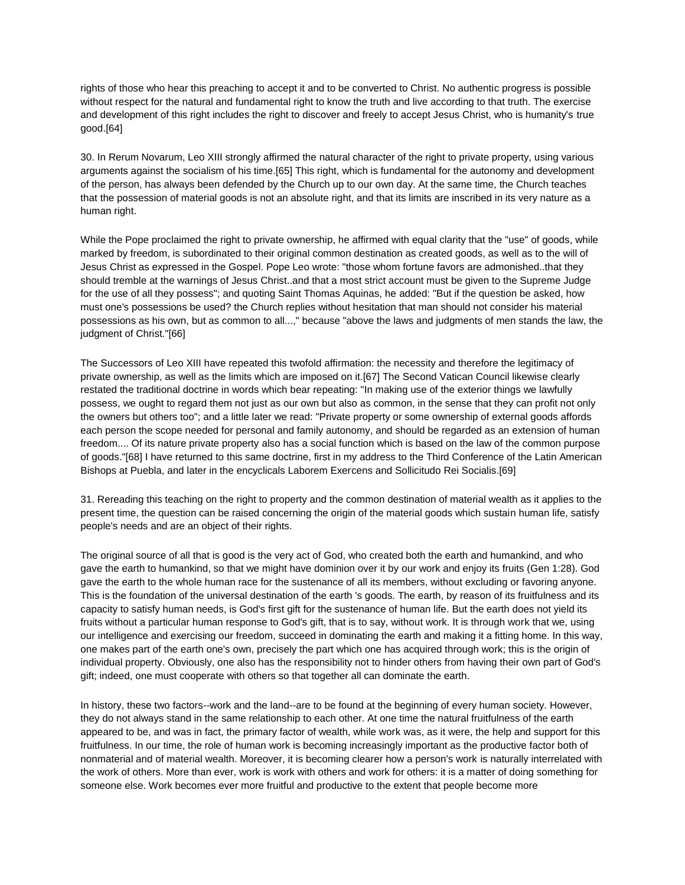rights of those who hear this preaching to accept it and to be converted to Christ. No authentic progress is possible without respect for the natural and fundamental right to know the truth and live according to that truth. The exercise and development of this right includes the right to discover and freely to accept Jesus Christ, who is humanity's true good.[64]

30. In Rerum Novarum, Leo XIII strongly affirmed the natural character of the right to private property, using various arguments against the socialism of his time.[65] This right, which is fundamental for the autonomy and development of the person, has always been defended by the Church up to our own day. At the same time, the Church teaches that the possession of material goods is not an absolute right, and that its limits are inscribed in its very nature as a human right.

While the Pope proclaimed the right to private ownership, he affirmed with equal clarity that the "use" of goods, while marked by freedom, is subordinated to their original common destination as created goods, as well as to the will of Jesus Christ as expressed in the Gospel. Pope Leo wrote: "those whom fortune favors are admonished..that they should tremble at the warnings of Jesus Christ..and that a most strict account must be given to the Supreme Judge for the use of all they possess"; and quoting Saint Thomas Aquinas, he added: "But if the question be asked, how must one's possessions be used? the Church replies without hesitation that man should not consider his material possessions as his own, but as common to all...," because "above the laws and judgments of men stands the law, the judgment of Christ."[66]

The Successors of Leo XIII have repeated this twofold affirmation: the necessity and therefore the legitimacy of private ownership, as well as the limits which are imposed on it.[67] The Second Vatican Council likewise clearly restated the traditional doctrine in words which bear repeating: "In making use of the exterior things we lawfully possess, we ought to regard them not just as our own but also as common, in the sense that they can profit not only the owners but others too"; and a little later we read: "Private property or some ownership of external goods affords each person the scope needed for personal and family autonomy, and should be regarded as an extension of human freedom.... Of its nature private property also has a social function which is based on the law of the common purpose of goods."[68] I have returned to this same doctrine, first in my address to the Third Conference of the Latin American Bishops at Puebla, and later in the encyclicals Laborem Exercens and Sollicitudo Rei Socialis.[69]

31. Rereading this teaching on the right to property and the common destination of material wealth as it applies to the present time, the question can be raised concerning the origin of the material goods which sustain human life, satisfy people's needs and are an object of their rights.

The original source of all that is good is the very act of God, who created both the earth and humankind, and who gave the earth to humankind, so that we might have dominion over it by our work and enjoy its fruits (Gen 1:28). God gave the earth to the whole human race for the sustenance of all its members, without excluding or favoring anyone. This is the foundation of the universal destination of the earth 's goods. The earth, by reason of its fruitfulness and its capacity to satisfy human needs, is God's first gift for the sustenance of human life. But the earth does not yield its fruits without a particular human response to God's gift, that is to say, without work. It is through work that we, using our intelligence and exercising our freedom, succeed in dominating the earth and making it a fitting home. In this way, one makes part of the earth one's own, precisely the part which one has acquired through work; this is the origin of individual property. Obviously, one also has the responsibility not to hinder others from having their own part of God's gift; indeed, one must cooperate with others so that together all can dominate the earth.

In history, these two factors--work and the land--are to be found at the beginning of every human society. However, they do not always stand in the same relationship to each other. At one time the natural fruitfulness of the earth appeared to be, and was in fact, the primary factor of wealth, while work was, as it were, the help and support for this fruitfulness. In our time, the role of human work is becoming increasingly important as the productive factor both of nonmaterial and of material wealth. Moreover, it is becoming clearer how a person's work is naturally interrelated with the work of others. More than ever, work is work with others and work for others: it is a matter of doing something for someone else. Work becomes ever more fruitful and productive to the extent that people become more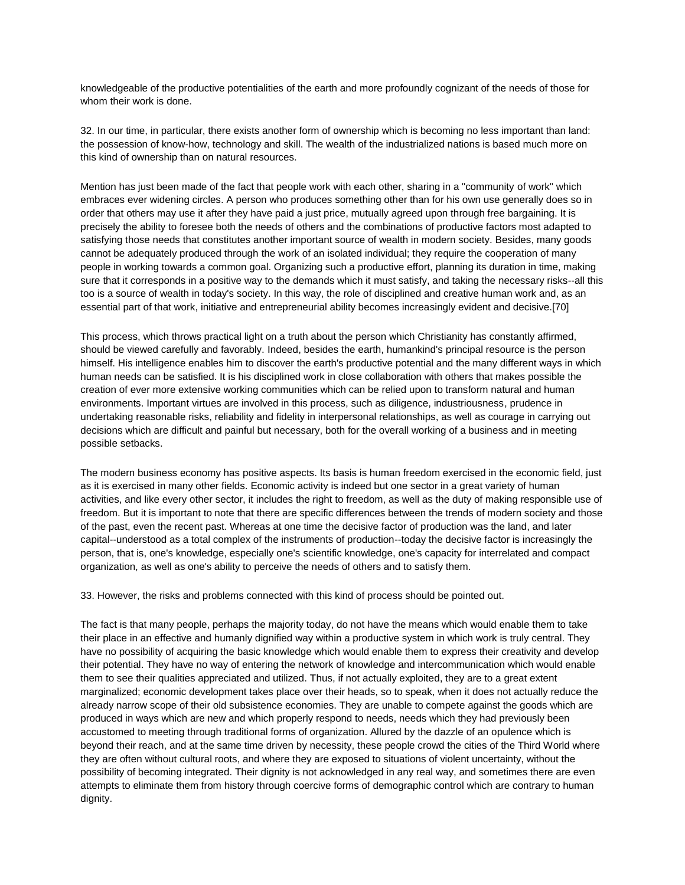knowledgeable of the productive potentialities of the earth and more profoundly cognizant of the needs of those for whom their work is done.

32. In our time, in particular, there exists another form of ownership which is becoming no less important than land: the possession of know-how, technology and skill. The wealth of the industrialized nations is based much more on this kind of ownership than on natural resources.

Mention has just been made of the fact that people work with each other, sharing in a "community of work" which embraces ever widening circles. A person who produces something other than for his own use generally does so in order that others may use it after they have paid a just price, mutually agreed upon through free bargaining. It is precisely the ability to foresee both the needs of others and the combinations of productive factors most adapted to satisfying those needs that constitutes another important source of wealth in modern society. Besides, many goods cannot be adequately produced through the work of an isolated individual; they require the cooperation of many people in working towards a common goal. Organizing such a productive effort, planning its duration in time, making sure that it corresponds in a positive way to the demands which it must satisfy, and taking the necessary risks--all this too is a source of wealth in today's society. In this way, the role of disciplined and creative human work and, as an essential part of that work, initiative and entrepreneurial ability becomes increasingly evident and decisive.[70]

This process, which throws practical light on a truth about the person which Christianity has constantly affirmed, should be viewed carefully and favorably. Indeed, besides the earth, humankind's principal resource is the person himself. His intelligence enables him to discover the earth's productive potential and the many different ways in which human needs can be satisfied. It is his disciplined work in close collaboration with others that makes possible the creation of ever more extensive working communities which can be relied upon to transform natural and human environments. Important virtues are involved in this process, such as diligence, industriousness, prudence in undertaking reasonable risks, reliability and fidelity in interpersonal relationships, as well as courage in carrying out decisions which are difficult and painful but necessary, both for the overall working of a business and in meeting possible setbacks.

The modern business economy has positive aspects. Its basis is human freedom exercised in the economic field, just as it is exercised in many other fields. Economic activity is indeed but one sector in a great variety of human activities, and like every other sector, it includes the right to freedom, as well as the duty of making responsible use of freedom. But it is important to note that there are specific differences between the trends of modern society and those of the past, even the recent past. Whereas at one time the decisive factor of production was the land, and later capital--understood as a total complex of the instruments of production--today the decisive factor is increasingly the person, that is, one's knowledge, especially one's scientific knowledge, one's capacity for interrelated and compact organization, as well as one's ability to perceive the needs of others and to satisfy them.

33. However, the risks and problems connected with this kind of process should be pointed out.

The fact is that many people, perhaps the majority today, do not have the means which would enable them to take their place in an effective and humanly dignified way within a productive system in which work is truly central. They have no possibility of acquiring the basic knowledge which would enable them to express their creativity and develop their potential. They have no way of entering the network of knowledge and intercommunication which would enable them to see their qualities appreciated and utilized. Thus, if not actually exploited, they are to a great extent marginalized; economic development takes place over their heads, so to speak, when it does not actually reduce the already narrow scope of their old subsistence economies. They are unable to compete against the goods which are produced in ways which are new and which properly respond to needs, needs which they had previously been accustomed to meeting through traditional forms of organization. Allured by the dazzle of an opulence which is beyond their reach, and at the same time driven by necessity, these people crowd the cities of the Third World where they are often without cultural roots, and where they are exposed to situations of violent uncertainty, without the possibility of becoming integrated. Their dignity is not acknowledged in any real way, and sometimes there are even attempts to eliminate them from history through coercive forms of demographic control which are contrary to human dignity.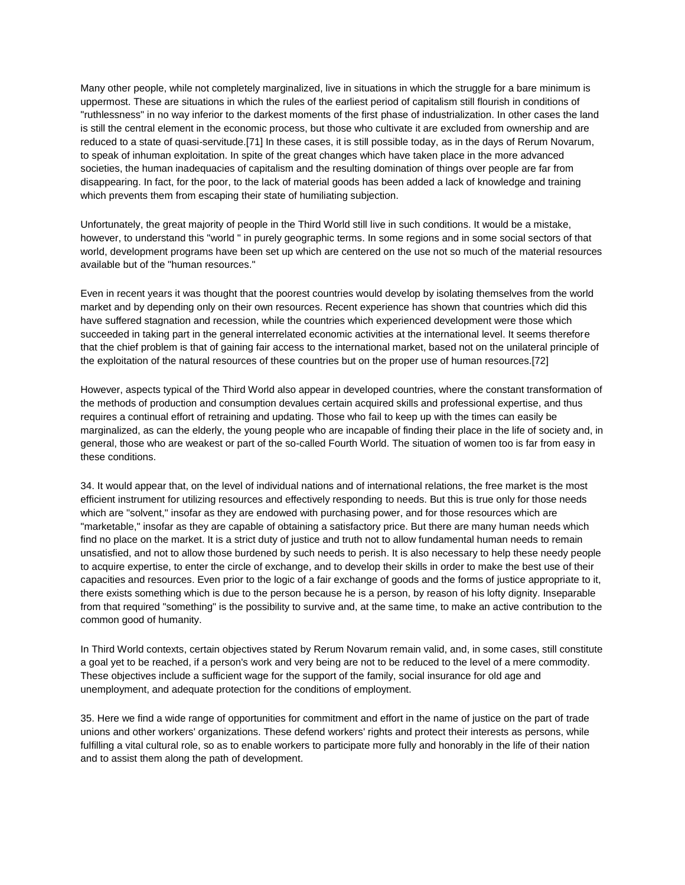Many other people, while not completely marginalized, live in situations in which the struggle for a bare minimum is uppermost. These are situations in which the rules of the earliest period of capitalism still flourish in conditions of "ruthlessness" in no way inferior to the darkest moments of the first phase of industrialization. In other cases the land is still the central element in the economic process, but those who cultivate it are excluded from ownership and are reduced to a state of quasi-servitude.[71] In these cases, it is still possible today, as in the days of Rerum Novarum, to speak of inhuman exploitation. In spite of the great changes which have taken place in the more advanced societies, the human inadequacies of capitalism and the resulting domination of things over people are far from disappearing. In fact, for the poor, to the lack of material goods has been added a lack of knowledge and training which prevents them from escaping their state of humiliating subjection.

Unfortunately, the great majority of people in the Third World still live in such conditions. It would be a mistake, however, to understand this "world " in purely geographic terms. In some regions and in some social sectors of that world, development programs have been set up which are centered on the use not so much of the material resources available but of the "human resources."

Even in recent years it was thought that the poorest countries would develop by isolating themselves from the world market and by depending only on their own resources. Recent experience has shown that countries which did this have suffered stagnation and recession, while the countries which experienced development were those which succeeded in taking part in the general interrelated economic activities at the international level. It seems therefore that the chief problem is that of gaining fair access to the international market, based not on the unilateral principle of the exploitation of the natural resources of these countries but on the proper use of human resources.[72]

However, aspects typical of the Third World also appear in developed countries, where the constant transformation of the methods of production and consumption devalues certain acquired skills and professional expertise, and thus requires a continual effort of retraining and updating. Those who fail to keep up with the times can easily be marginalized, as can the elderly, the young people who are incapable of finding their place in the life of society and, in general, those who are weakest or part of the so-called Fourth World. The situation of women too is far from easy in these conditions.

34. It would appear that, on the level of individual nations and of international relations, the free market is the most efficient instrument for utilizing resources and effectively responding to needs. But this is true only for those needs which are "solvent," insofar as they are endowed with purchasing power, and for those resources which are "marketable," insofar as they are capable of obtaining a satisfactory price. But there are many human needs which find no place on the market. It is a strict duty of justice and truth not to allow fundamental human needs to remain unsatisfied, and not to allow those burdened by such needs to perish. It is also necessary to help these needy people to acquire expertise, to enter the circle of exchange, and to develop their skills in order to make the best use of their capacities and resources. Even prior to the logic of a fair exchange of goods and the forms of justice appropriate to it, there exists something which is due to the person because he is a person, by reason of his lofty dignity. Inseparable from that required "something" is the possibility to survive and, at the same time, to make an active contribution to the common good of humanity.

In Third World contexts, certain objectives stated by Rerum Novarum remain valid, and, in some cases, still constitute a goal yet to be reached, if a person's work and very being are not to be reduced to the level of a mere commodity. These objectives include a sufficient wage for the support of the family, social insurance for old age and unemployment, and adequate protection for the conditions of employment.

35. Here we find a wide range of opportunities for commitment and effort in the name of justice on the part of trade unions and other workers' organizations. These defend workers' rights and protect their interests as persons, while fulfilling a vital cultural role, so as to enable workers to participate more fully and honorably in the life of their nation and to assist them along the path of development.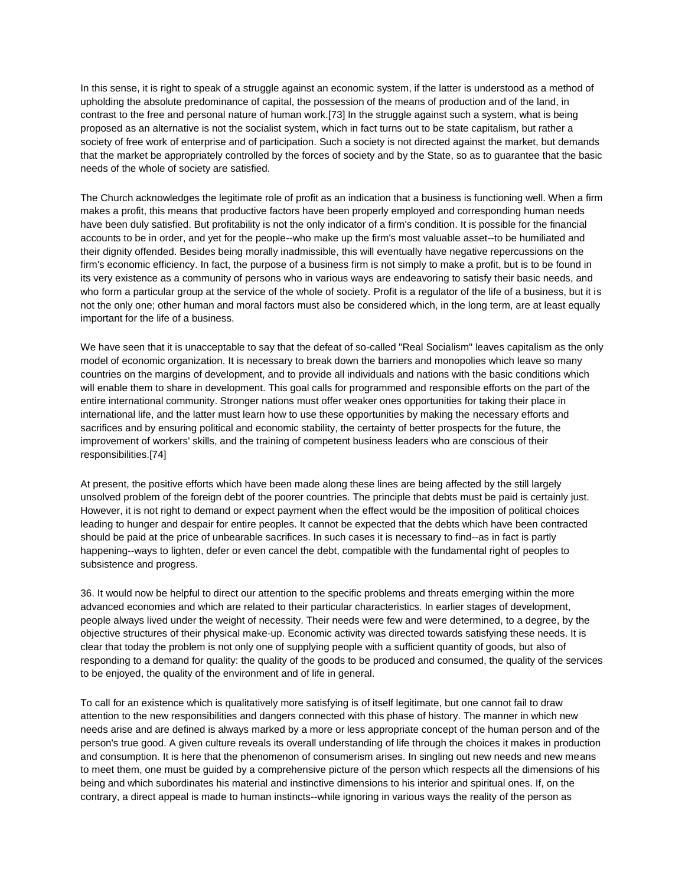In this sense, it is right to speak of a struggle against an economic system, if the latter is understood as a method of upholding the absolute predominance of capital, the possession of the means of production and of the land, in contrast to the free and personal nature of human work.[73] In the struggle against such a system, what is being proposed as an alternative is not the socialist system, which in fact turns out to be state capitalism, but rather a society of free work of enterprise and of participation. Such a society is not directed against the market, but demands that the market be appropriately controlled by the forces of society and by the State, so as to guarantee that the basic needs of the whole of society are satisfied.

The Church acknowledges the legitimate role of profit as an indication that a business is functioning well. When a firm makes a profit, this means that productive factors have been properly employed and corresponding human needs have been duly satisfied. But profitability is not the only indicator of a firm's condition. It is possible for the financial accounts to be in order, and yet for the people--who make up the firm's most valuable asset--to be humiliated and their dignity offended. Besides being morally inadmissible, this will eventually have negative repercussions on the firm's economic efficiency. In fact, the purpose of a business firm is not simply to make a profit, but is to be found in its very existence as a community of persons who in various ways are endeavoring to satisfy their basic needs, and who form a particular group at the service of the whole of society. Profit is a regulator of the life of a business, but it is not the only one; other human and moral factors must also be considered which, in the long term, are at least equally important for the life of a business.

We have seen that it is unacceptable to say that the defeat of so-called "Real Socialism" leaves capitalism as the only model of economic organization. It is necessary to break down the barriers and monopolies which leave so many countries on the margins of development, and to provide all individuals and nations with the basic conditions which will enable them to share in development. This goal calls for programmed and responsible efforts on the part of the entire international community. Stronger nations must offer weaker ones opportunities for taking their place in international life, and the latter must learn how to use these opportunities by making the necessary efforts and sacrifices and by ensuring political and economic stability, the certainty of better prospects for the future, the improvement of workers' skills, and the training of competent business leaders who are conscious of their responsibilities.[74]

At present, the positive efforts which have been made along these lines are being affected by the still largely unsolved problem of the foreign debt of the poorer countries. The principle that debts must be paid is certainly just. However, it is not right to demand or expect payment when the effect would be the imposition of political choices leading to hunger and despair for entire peoples. It cannot be expected that the debts which have been contracted should be paid at the price of unbearable sacrifices. In such cases it is necessary to find--as in fact is partly happening--ways to lighten, defer or even cancel the debt, compatible with the fundamental right of peoples to subsistence and progress.

36. It would now be helpful to direct our attention to the specific problems and threats emerging within the more advanced economies and which are related to their particular characteristics. In earlier stages of development, people always lived under the weight of necessity. Their needs were few and were determined, to a degree, by the objective structures of their physical make-up. Economic activity was directed towards satisfying these needs. It is clear that today the problem is not only one of supplying people with a sufficient quantity of goods, but also of responding to a demand for quality: the quality of the goods to be produced and consumed, the quality of the services to be enjoyed, the quality of the environment and of life in general.

To call for an existence which is qualitatively more satisfying is of itself legitimate, but one cannot fail to draw attention to the new responsibilities and dangers connected with this phase of history. The manner in which new needs arise and are defined is always marked by a more or less appropriate concept of the human person and of the person's true good. A given culture reveals its overall understanding of life through the choices it makes in production and consumption. It is here that the phenomenon of consumerism arises. In singling out new needs and new means to meet them, one must be guided by a comprehensive picture of the person which respects all the dimensions of his being and which subordinates his material and instinctive dimensions to his interior and spiritual ones. If, on the contrary, a direct appeal is made to human instincts--while ignoring in various ways the reality of the person as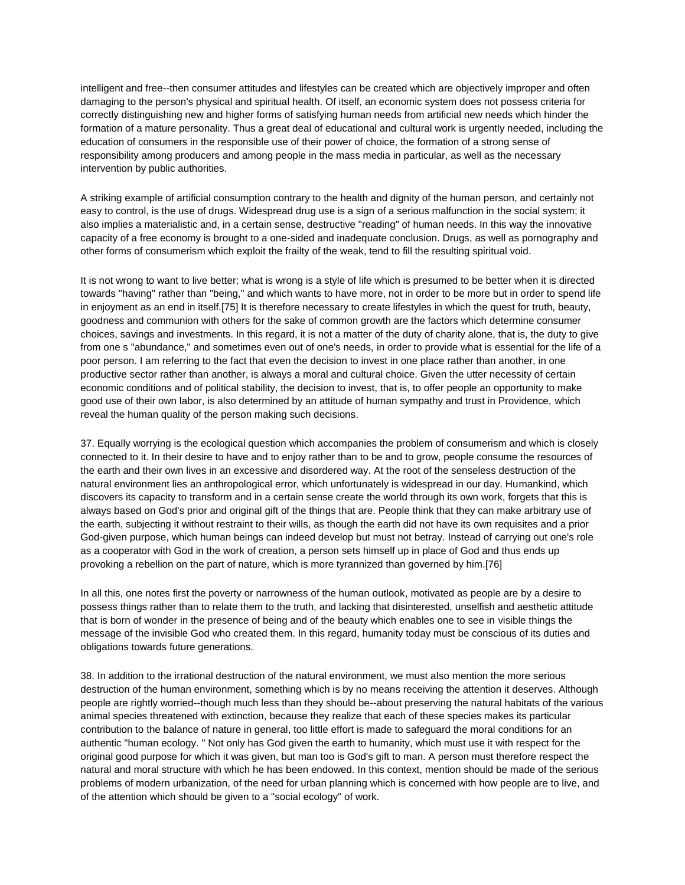intelligent and free--then consumer attitudes and lifestyles can be created which are objectively improper and often damaging to the person's physical and spiritual health. Of itself, an economic system does not possess criteria for correctly distinguishing new and higher forms of satisfying human needs from artificial new needs which hinder the formation of a mature personality. Thus a great deal of educational and cultural work is urgently needed, including the education of consumers in the responsible use of their power of choice, the formation of a strong sense of responsibility among producers and among people in the mass media in particular, as well as the necessary intervention by public authorities.

A striking example of artificial consumption contrary to the health and dignity of the human person, and certainly not easy to control, is the use of drugs. Widespread drug use is a sign of a serious malfunction in the social system; it also implies a materialistic and, in a certain sense, destructive "reading" of human needs. In this way the innovative capacity of a free economy is brought to a one-sided and inadequate conclusion. Drugs, as well as pornography and other forms of consumerism which exploit the frailty of the weak, tend to fill the resulting spiritual void.

It is not wrong to want to live better; what is wrong is a style of life which is presumed to be better when it is directed towards "having" rather than "being," and which wants to have more, not in order to be more but in order to spend life in enjoyment as an end in itself.[75] It is therefore necessary to create lifestyles in which the quest for truth, beauty, goodness and communion with others for the sake of common growth are the factors which determine consumer choices, savings and investments. In this regard, it is not a matter of the duty of charity alone, that is, the duty to give from one s "abundance," and sometimes even out of one's needs, in order to provide what is essential for the life of a poor person. I am referring to the fact that even the decision to invest in one place rather than another, in one productive sector rather than another, is always a moral and cultural choice. Given the utter necessity of certain economic conditions and of political stability, the decision to invest, that is, to offer people an opportunity to make good use of their own labor, is also determined by an attitude of human sympathy and trust in Providence, which reveal the human quality of the person making such decisions.

37. Equally worrying is the ecological question which accompanies the problem of consumerism and which is closely connected to it. In their desire to have and to enjoy rather than to be and to grow, people consume the resources of the earth and their own lives in an excessive and disordered way. At the root of the senseless destruction of the natural environment lies an anthropological error, which unfortunately is widespread in our day. Humankind, which discovers its capacity to transform and in a certain sense create the world through its own work, forgets that this is always based on God's prior and original gift of the things that are. People think that they can make arbitrary use of the earth, subjecting it without restraint to their wills, as though the earth did not have its own requisites and a prior God-given purpose, which human beings can indeed develop but must not betray. Instead of carrying out one's role as a cooperator with God in the work of creation, a person sets himself up in place of God and thus ends up provoking a rebellion on the part of nature, which is more tyrannized than governed by him.[76]

In all this, one notes first the poverty or narrowness of the human outlook, motivated as people are by a desire to possess things rather than to relate them to the truth, and lacking that disinterested, unselfish and aesthetic attitude that is born of wonder in the presence of being and of the beauty which enables one to see in visible things the message of the invisible God who created them. In this regard, humanity today must be conscious of its duties and obligations towards future generations.

38. In addition to the irrational destruction of the natural environment, we must also mention the more serious destruction of the human environment, something which is by no means receiving the attention it deserves. Although people are rightly worried--though much less than they should be--about preserving the natural habitats of the various animal species threatened with extinction, because they realize that each of these species makes its particular contribution to the balance of nature in general, too little effort is made to safeguard the moral conditions for an authentic "human ecology. " Not only has God given the earth to humanity, which must use it with respect for the original good purpose for which it was given, but man too is God's gift to man. A person must therefore respect the natural and moral structure with which he has been endowed. In this context, mention should be made of the serious problems of modern urbanization, of the need for urban planning which is concerned with how people are to live, and of the attention which should be given to a "social ecology" of work.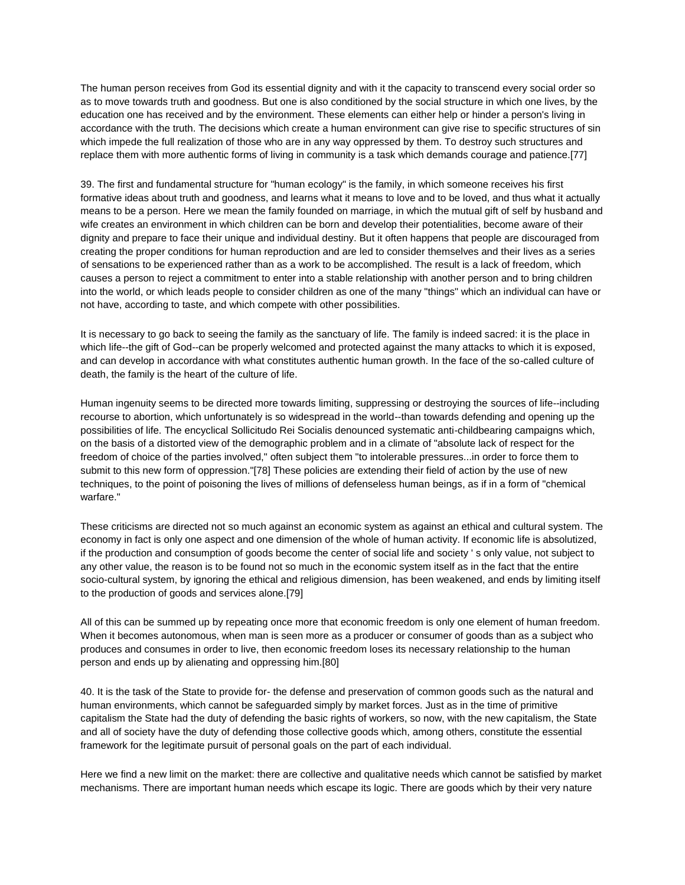The human person receives from God its essential dignity and with it the capacity to transcend every social order so as to move towards truth and goodness. But one is also conditioned by the social structure in which one lives, by the education one has received and by the environment. These elements can either help or hinder a person's living in accordance with the truth. The decisions which create a human environment can give rise to specific structures of sin which impede the full realization of those who are in any way oppressed by them. To destroy such structures and replace them with more authentic forms of living in community is a task which demands courage and patience.[77]

39. The first and fundamental structure for "human ecology" is the family, in which someone receives his first formative ideas about truth and goodness, and learns what it means to love and to be loved, and thus what it actually means to be a person. Here we mean the family founded on marriage, in which the mutual gift of self by husband and wife creates an environment in which children can be born and develop their potentialities, become aware of their dignity and prepare to face their unique and individual destiny. But it often happens that people are discouraged from creating the proper conditions for human reproduction and are led to consider themselves and their lives as a series of sensations to be experienced rather than as a work to be accomplished. The result is a lack of freedom, which causes a person to reject a commitment to enter into a stable relationship with another person and to bring children into the world, or which leads people to consider children as one of the many "things" which an individual can have or not have, according to taste, and which compete with other possibilities.

It is necessary to go back to seeing the family as the sanctuary of life. The family is indeed sacred: it is the place in which life--the gift of God--can be properly welcomed and protected against the many attacks to which it is exposed, and can develop in accordance with what constitutes authentic human growth. In the face of the so-called culture of death, the family is the heart of the culture of life.

Human ingenuity seems to be directed more towards limiting, suppressing or destroying the sources of life--including recourse to abortion, which unfortunately is so widespread in the world--than towards defending and opening up the possibilities of life. The encyclical Sollicitudo Rei Socialis denounced systematic anti-childbearing campaigns which, on the basis of a distorted view of the demographic problem and in a climate of "absolute lack of respect for the freedom of choice of the parties involved," often subject them "to intolerable pressures...in order to force them to submit to this new form of oppression."[78] These policies are extending their field of action by the use of new techniques, to the point of poisoning the lives of millions of defenseless human beings, as if in a form of "chemical warfare."

These criticisms are directed not so much against an economic system as against an ethical and cultural system. The economy in fact is only one aspect and one dimension of the whole of human activity. If economic life is absolutized, if the production and consumption of goods become the center of social life and society ' s only value, not subject to any other value, the reason is to be found not so much in the economic system itself as in the fact that the entire socio-cultural system, by ignoring the ethical and religious dimension, has been weakened, and ends by limiting itself to the production of goods and services alone.[79]

All of this can be summed up by repeating once more that economic freedom is only one element of human freedom. When it becomes autonomous, when man is seen more as a producer or consumer of goods than as a subject who produces and consumes in order to live, then economic freedom loses its necessary relationship to the human person and ends up by alienating and oppressing him.[80]

40. It is the task of the State to provide for- the defense and preservation of common goods such as the natural and human environments, which cannot be safeguarded simply by market forces. Just as in the time of primitive capitalism the State had the duty of defending the basic rights of workers, so now, with the new capitalism, the State and all of society have the duty of defending those collective goods which, among others, constitute the essential framework for the legitimate pursuit of personal goals on the part of each individual.

Here we find a new limit on the market: there are collective and qualitative needs which cannot be satisfied by market mechanisms. There are important human needs which escape its logic. There are goods which by their very nature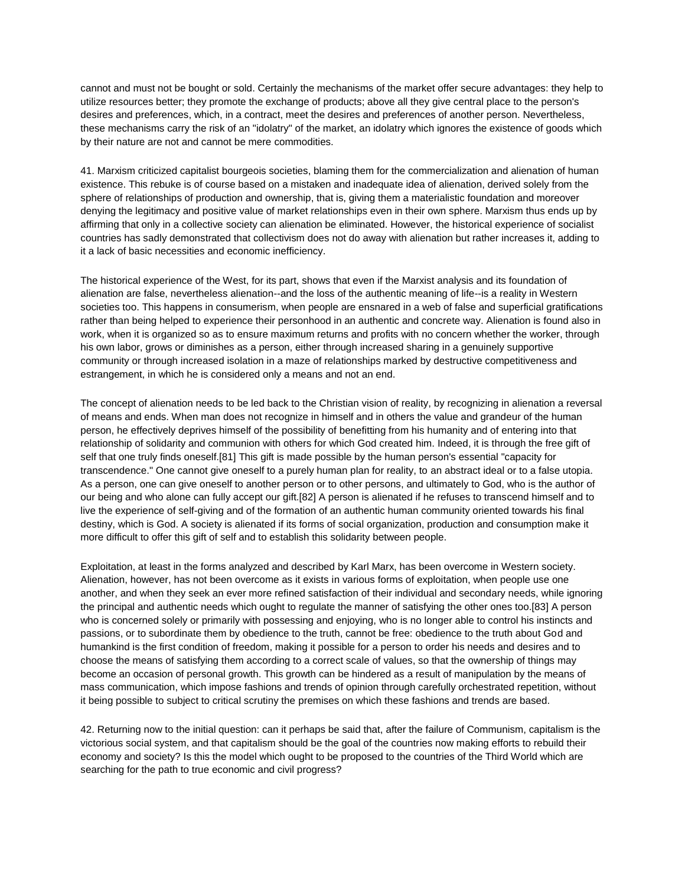cannot and must not be bought or sold. Certainly the mechanisms of the market offer secure advantages: they help to utilize resources better; they promote the exchange of products; above all they give central place to the person's desires and preferences, which, in a contract, meet the desires and preferences of another person. Nevertheless, these mechanisms carry the risk of an "idolatry" of the market, an idolatry which ignores the existence of goods which by their nature are not and cannot be mere commodities.

41. Marxism criticized capitalist bourgeois societies, blaming them for the commercialization and alienation of human existence. This rebuke is of course based on a mistaken and inadequate idea of alienation, derived solely from the sphere of relationships of production and ownership, that is, giving them a materialistic foundation and moreover denying the legitimacy and positive value of market relationships even in their own sphere. Marxism thus ends up by affirming that only in a collective society can alienation be eliminated. However, the historical experience of socialist countries has sadly demonstrated that collectivism does not do away with alienation but rather increases it, adding to it a lack of basic necessities and economic inefficiency.

The historical experience of the West, for its part, shows that even if the Marxist analysis and its foundation of alienation are false, nevertheless alienation--and the loss of the authentic meaning of life--is a reality in Western societies too. This happens in consumerism, when people are ensnared in a web of false and superficial gratifications rather than being helped to experience their personhood in an authentic and concrete way. Alienation is found also in work, when it is organized so as to ensure maximum returns and profits with no concern whether the worker, through his own labor, grows or diminishes as a person, either through increased sharing in a genuinely supportive community or through increased isolation in a maze of relationships marked by destructive competitiveness and estrangement, in which he is considered only a means and not an end.

The concept of alienation needs to be led back to the Christian vision of reality, by recognizing in alienation a reversal of means and ends. When man does not recognize in himself and in others the value and grandeur of the human person, he effectively deprives himself of the possibility of benefitting from his humanity and of entering into that relationship of solidarity and communion with others for which God created him. Indeed, it is through the free gift of self that one truly finds oneself.[81] This gift is made possible by the human person's essential "capacity for transcendence." One cannot give oneself to a purely human plan for reality, to an abstract ideal or to a false utopia. As a person, one can give oneself to another person or to other persons, and ultimately to God, who is the author of our being and who alone can fully accept our gift.[82] A person is alienated if he refuses to transcend himself and to live the experience of self-giving and of the formation of an authentic human community oriented towards his final destiny, which is God. A society is alienated if its forms of social organization, production and consumption make it more difficult to offer this gift of self and to establish this solidarity between people.

Exploitation, at least in the forms analyzed and described by Karl Marx, has been overcome in Western society. Alienation, however, has not been overcome as it exists in various forms of exploitation, when people use one another, and when they seek an ever more refined satisfaction of their individual and secondary needs, while ignoring the principal and authentic needs which ought to regulate the manner of satisfying the other ones too.[83] A person who is concerned solely or primarily with possessing and enjoying, who is no longer able to control his instincts and passions, or to subordinate them by obedience to the truth, cannot be free: obedience to the truth about God and humankind is the first condition of freedom, making it possible for a person to order his needs and desires and to choose the means of satisfying them according to a correct scale of values, so that the ownership of things may become an occasion of personal growth. This growth can be hindered as a result of manipulation by the means of mass communication, which impose fashions and trends of opinion through carefully orchestrated repetition, without it being possible to subject to critical scrutiny the premises on which these fashions and trends are based.

42. Returning now to the initial question: can it perhaps be said that, after the failure of Communism, capitalism is the victorious social system, and that capitalism should be the goal of the countries now making efforts to rebuild their economy and society? Is this the model which ought to be proposed to the countries of the Third World which are searching for the path to true economic and civil progress?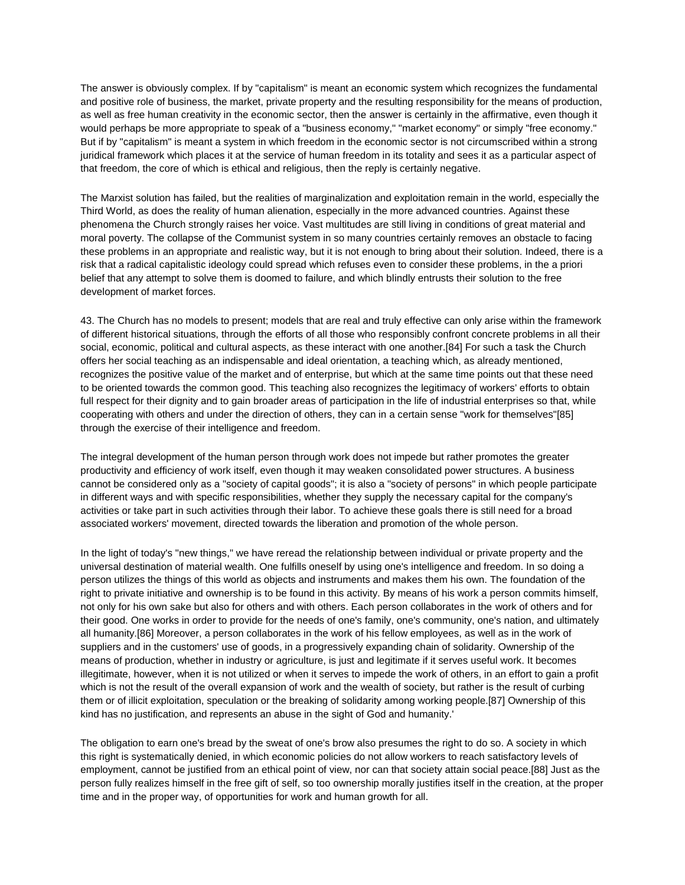The answer is obviously complex. If by "capitalism" is meant an economic system which recognizes the fundamental and positive role of business, the market, private property and the resulting responsibility for the means of production, as well as free human creativity in the economic sector, then the answer is certainly in the affirmative, even though it would perhaps be more appropriate to speak of a "business economy," "market economy" or simply "free economy." But if by "capitalism" is meant a system in which freedom in the economic sector is not circumscribed within a strong juridical framework which places it at the service of human freedom in its totality and sees it as a particular aspect of that freedom, the core of which is ethical and religious, then the reply is certainly negative.

The Marxist solution has failed, but the realities of marginalization and exploitation remain in the world, especially the Third World, as does the reality of human alienation, especially in the more advanced countries. Against these phenomena the Church strongly raises her voice. Vast multitudes are still living in conditions of great material and moral poverty. The collapse of the Communist system in so many countries certainly removes an obstacle to facing these problems in an appropriate and realistic way, but it is not enough to bring about their solution. Indeed, there is a risk that a radical capitalistic ideology could spread which refuses even to consider these problems, in the a priori belief that any attempt to solve them is doomed to failure, and which blindly entrusts their solution to the free development of market forces.

43. The Church has no models to present; models that are real and truly effective can only arise within the framework of different historical situations, through the efforts of all those who responsibly confront concrete problems in all their social, economic, political and cultural aspects, as these interact with one another.[84] For such a task the Church offers her social teaching as an indispensable and ideal orientation, a teaching which, as already mentioned, recognizes the positive value of the market and of enterprise, but which at the same time points out that these need to be oriented towards the common good. This teaching also recognizes the legitimacy of workers' efforts to obtain full respect for their dignity and to gain broader areas of participation in the life of industrial enterprises so that, while cooperating with others and under the direction of others, they can in a certain sense "work for themselves"[85] through the exercise of their intelligence and freedom.

The integral development of the human person through work does not impede but rather promotes the greater productivity and efficiency of work itself, even though it may weaken consolidated power structures. A business cannot be considered only as a "society of capital goods"; it is also a "society of persons" in which people participate in different ways and with specific responsibilities, whether they supply the necessary capital for the company's activities or take part in such activities through their labor. To achieve these goals there is still need for a broad associated workers' movement, directed towards the liberation and promotion of the whole person.

In the light of today's "new things," we have reread the relationship between individual or private property and the universal destination of material wealth. One fulfills oneself by using one's intelligence and freedom. In so doing a person utilizes the things of this world as objects and instruments and makes them his own. The foundation of the right to private initiative and ownership is to be found in this activity. By means of his work a person commits himself, not only for his own sake but also for others and with others. Each person collaborates in the work of others and for their good. One works in order to provide for the needs of one's family, one's community, one's nation, and ultimately all humanity.[86] Moreover, a person collaborates in the work of his fellow employees, as well as in the work of suppliers and in the customers' use of goods, in a progressively expanding chain of solidarity. Ownership of the means of production, whether in industry or agriculture, is just and legitimate if it serves useful work. It becomes illegitimate, however, when it is not utilized or when it serves to impede the work of others, in an effort to gain a profit which is not the result of the overall expansion of work and the wealth of society, but rather is the result of curbing them or of illicit exploitation, speculation or the breaking of solidarity among working people.[87] Ownership of this kind has no justification, and represents an abuse in the sight of God and humanity.'

The obligation to earn one's bread by the sweat of one's brow also presumes the right to do so. A society in which this right is systematically denied, in which economic policies do not allow workers to reach satisfactory levels of employment, cannot be justified from an ethical point of view, nor can that society attain social peace.[88] Just as the person fully realizes himself in the free gift of self, so too ownership morally justifies itself in the creation, at the proper time and in the proper way, of opportunities for work and human growth for all.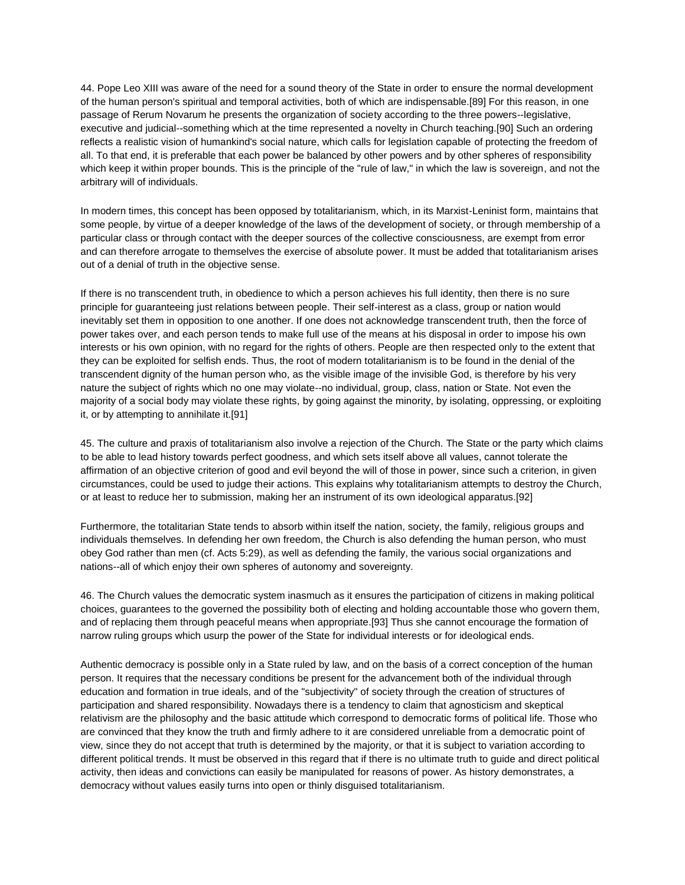44. Pope Leo XIII was aware of the need for a sound theory of the State in order to ensure the normal development of the human person's spiritual and temporal activities, both of which are indispensable.[89] For this reason, in one passage of Rerum Novarum he presents the organization of society according to the three powers--legislative, executive and judicial--something which at the time represented a novelty in Church teaching.[90] Such an ordering reflects a realistic vision of humankind's social nature, which calls for legislation capable of protecting the freedom of all. To that end, it is preferable that each power be balanced by other powers and by other spheres of responsibility which keep it within proper bounds. This is the principle of the "rule of law," in which the law is sovereign, and not the arbitrary will of individuals.

In modern times, this concept has been opposed by totalitarianism, which, in its Marxist-Leninist form, maintains that some people, by virtue of a deeper knowledge of the laws of the development of society, or through membership of a particular class or through contact with the deeper sources of the collective consciousness, are exempt from error and can therefore arrogate to themselves the exercise of absolute power. It must be added that totalitarianism arises out of a denial of truth in the objective sense.

If there is no transcendent truth, in obedience to which a person achieves his full identity, then there is no sure principle for guaranteeing just relations between people. Their self-interest as a class, group or nation would inevitably set them in opposition to one another. If one does not acknowledge transcendent truth, then the force of power takes over, and each person tends to make full use of the means at his disposal in order to impose his own interests or his own opinion, with no regard for the rights of others. People are then respected only to the extent that they can be exploited for selfish ends. Thus, the root of modern totalitarianism is to be found in the denial of the transcendent dignity of the human person who, as the visible image of the invisible God, is therefore by his very nature the subject of rights which no one may violate--no individual, group, class, nation or State. Not even the majority of a social body may violate these rights, by going against the minority, by isolating, oppressing, or exploiting it, or by attempting to annihilate it.[91]

45. The culture and praxis of totalitarianism also involve a rejection of the Church. The State or the party which claims to be able to lead history towards perfect goodness, and which sets itself above all values, cannot tolerate the affirmation of an objective criterion of good and evil beyond the will of those in power, since such a criterion, in given circumstances, could be used to judge their actions. This explains why totalitarianism attempts to destroy the Church, or at least to reduce her to submission, making her an instrument of its own ideological apparatus.[92]

Furthermore, the totalitarian State tends to absorb within itself the nation, society, the family, religious groups and individuals themselves. In defending her own freedom, the Church is also defending the human person, who must obey God rather than men (cf. Acts 5:29), as well as defending the family, the various social organizations and nations--all of which enjoy their own spheres of autonomy and sovereignty.

46. The Church values the democratic system inasmuch as it ensures the participation of citizens in making political choices, guarantees to the governed the possibility both of electing and holding accountable those who govern them, and of replacing them through peaceful means when appropriate.[93] Thus she cannot encourage the formation of narrow ruling groups which usurp the power of the State for individual interests or for ideological ends.

Authentic democracy is possible only in a State ruled by law, and on the basis of a correct conception of the human person. It requires that the necessary conditions be present for the advancement both of the individual through education and formation in true ideals, and of the "subjectivity" of society through the creation of structures of participation and shared responsibility. Nowadays there is a tendency to claim that agnosticism and skeptical relativism are the philosophy and the basic attitude which correspond to democratic forms of political life. Those who are convinced that they know the truth and firmly adhere to it are considered unreliable from a democratic point of view, since they do not accept that truth is determined by the majority, or that it is subject to variation according to different political trends. It must be observed in this regard that if there is no ultimate truth to guide and direct political activity, then ideas and convictions can easily be manipulated for reasons of power. As history demonstrates, a democracy without values easily turns into open or thinly disguised totalitarianism.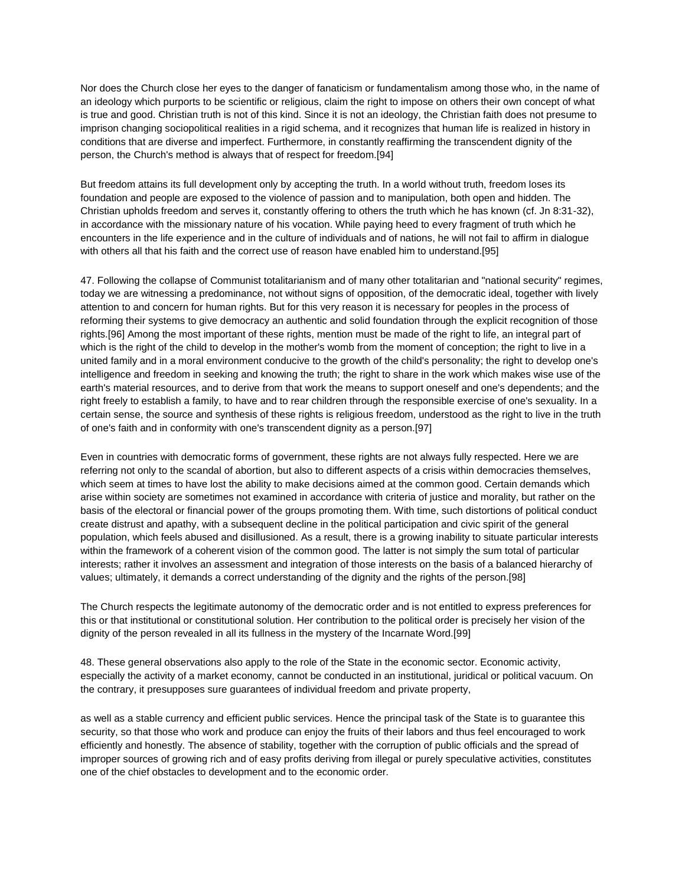Nor does the Church close her eyes to the danger of fanaticism or fundamentalism among those who, in the name of an ideology which purports to be scientific or religious, claim the right to impose on others their own concept of what is true and good. Christian truth is not of this kind. Since it is not an ideology, the Christian faith does not presume to imprison changing sociopolitical realities in a rigid schema, and it recognizes that human life is realized in history in conditions that are diverse and imperfect. Furthermore, in constantly reaffirming the transcendent dignity of the person, the Church's method is always that of respect for freedom.[94]

But freedom attains its full development only by accepting the truth. In a world without truth, freedom loses its foundation and people are exposed to the violence of passion and to manipulation, both open and hidden. The Christian upholds freedom and serves it, constantly offering to others the truth which he has known (cf. Jn 8:31-32), in accordance with the missionary nature of his vocation. While paying heed to every fragment of truth which he encounters in the life experience and in the culture of individuals and of nations, he will not fail to affirm in dialogue with others all that his faith and the correct use of reason have enabled him to understand.[95]

47. Following the collapse of Communist totalitarianism and of many other totalitarian and "national security" regimes, today we are witnessing a predominance, not without signs of opposition, of the democratic ideal, together with lively attention to and concern for human rights. But for this very reason it is necessary for peoples in the process of reforming their systems to give democracy an authentic and solid foundation through the explicit recognition of those rights.[96] Among the most important of these rights, mention must be made of the right to life, an integral part of which is the right of the child to develop in the mother's womb from the moment of conception; the right to live in a united family and in a moral environment conducive to the growth of the child's personality; the right to develop one's intelligence and freedom in seeking and knowing the truth; the right to share in the work which makes wise use of the earth's material resources, and to derive from that work the means to support oneself and one's dependents; and the right freely to establish a family, to have and to rear children through the responsible exercise of one's sexuality. In a certain sense, the source and synthesis of these rights is religious freedom, understood as the right to live in the truth of one's faith and in conformity with one's transcendent dignity as a person.[97]

Even in countries with democratic forms of government, these rights are not always fully respected. Here we are referring not only to the scandal of abortion, but also to different aspects of a crisis within democracies themselves, which seem at times to have lost the ability to make decisions aimed at the common good. Certain demands which arise within society are sometimes not examined in accordance with criteria of justice and morality, but rather on the basis of the electoral or financial power of the groups promoting them. With time, such distortions of political conduct create distrust and apathy, with a subsequent decline in the political participation and civic spirit of the general population, which feels abused and disillusioned. As a result, there is a growing inability to situate particular interests within the framework of a coherent vision of the common good. The latter is not simply the sum total of particular interests; rather it involves an assessment and integration of those interests on the basis of a balanced hierarchy of values; ultimately, it demands a correct understanding of the dignity and the rights of the person.[98]

The Church respects the legitimate autonomy of the democratic order and is not entitled to express preferences for this or that institutional or constitutional solution. Her contribution to the political order is precisely her vision of the dignity of the person revealed in all its fullness in the mystery of the Incarnate Word.[99]

48. These general observations also apply to the role of the State in the economic sector. Economic activity, especially the activity of a market economy, cannot be conducted in an institutional, juridical or political vacuum. On the contrary, it presupposes sure guarantees of individual freedom and private property,

as well as a stable currency and efficient public services. Hence the principal task of the State is to guarantee this security, so that those who work and produce can enjoy the fruits of their labors and thus feel encouraged to work efficiently and honestly. The absence of stability, together with the corruption of public officials and the spread of improper sources of growing rich and of easy profits deriving from illegal or purely speculative activities, constitutes one of the chief obstacles to development and to the economic order.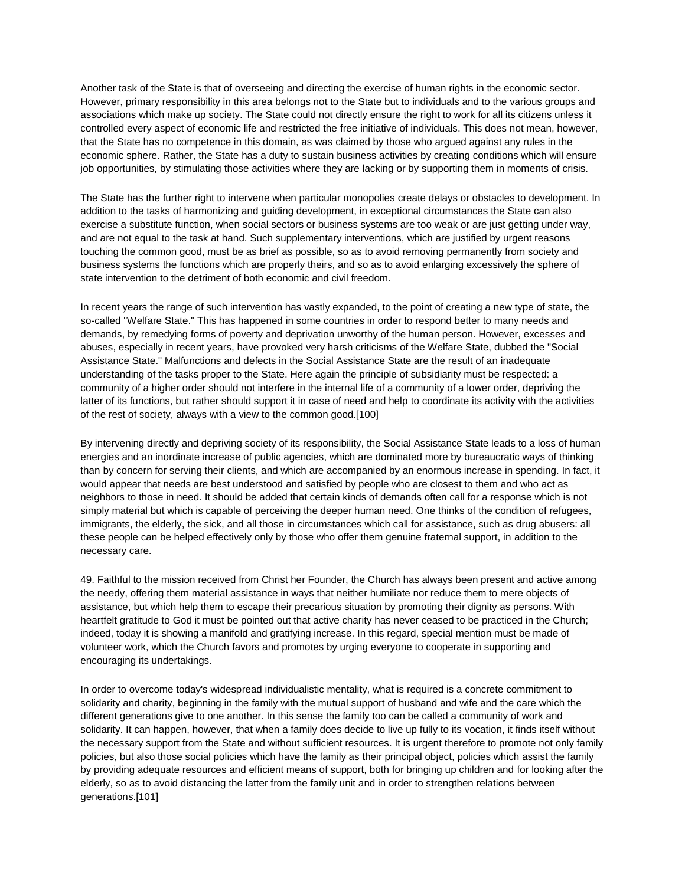Another task of the State is that of overseeing and directing the exercise of human rights in the economic sector. However, primary responsibility in this area belongs not to the State but to individuals and to the various groups and associations which make up society. The State could not directly ensure the right to work for all its citizens unless it controlled every aspect of economic life and restricted the free initiative of individuals. This does not mean, however, that the State has no competence in this domain, as was claimed by those who argued against any rules in the economic sphere. Rather, the State has a duty to sustain business activities by creating conditions which will ensure job opportunities, by stimulating those activities where they are lacking or by supporting them in moments of crisis.

The State has the further right to intervene when particular monopolies create delays or obstacles to development. In addition to the tasks of harmonizing and guiding development, in exceptional circumstances the State can also exercise a substitute function, when social sectors or business systems are too weak or are just getting under way, and are not equal to the task at hand. Such supplementary interventions, which are justified by urgent reasons touching the common good, must be as brief as possible, so as to avoid removing permanently from society and business systems the functions which are properly theirs, and so as to avoid enlarging excessively the sphere of state intervention to the detriment of both economic and civil freedom.

In recent years the range of such intervention has vastly expanded, to the point of creating a new type of state, the so-called "Welfare State." This has happened in some countries in order to respond better to many needs and demands, by remedying forms of poverty and deprivation unworthy of the human person. However, excesses and abuses, especially in recent years, have provoked very harsh criticisms of the Welfare State, dubbed the "Social Assistance State." Malfunctions and defects in the Social Assistance State are the result of an inadequate understanding of the tasks proper to the State. Here again the principle of subsidiarity must be respected: a community of a higher order should not interfere in the internal life of a community of a lower order, depriving the latter of its functions, but rather should support it in case of need and help to coordinate its activity with the activities of the rest of society, always with a view to the common good.[100]

By intervening directly and depriving society of its responsibility, the Social Assistance State leads to a loss of human energies and an inordinate increase of public agencies, which are dominated more by bureaucratic ways of thinking than by concern for serving their clients, and which are accompanied by an enormous increase in spending. In fact, it would appear that needs are best understood and satisfied by people who are closest to them and who act as neighbors to those in need. It should be added that certain kinds of demands often call for a response which is not simply material but which is capable of perceiving the deeper human need. One thinks of the condition of refugees, immigrants, the elderly, the sick, and all those in circumstances which call for assistance, such as drug abusers: all these people can be helped effectively only by those who offer them genuine fraternal support, in addition to the necessary care.

49. Faithful to the mission received from Christ her Founder, the Church has always been present and active among the needy, offering them material assistance in ways that neither humiliate nor reduce them to mere objects of assistance, but which help them to escape their precarious situation by promoting their dignity as persons. With heartfelt gratitude to God it must be pointed out that active charity has never ceased to be practiced in the Church; indeed, today it is showing a manifold and gratifying increase. In this regard, special mention must be made of volunteer work, which the Church favors and promotes by urging everyone to cooperate in supporting and encouraging its undertakings.

In order to overcome today's widespread individualistic mentality, what is required is a concrete commitment to solidarity and charity, beginning in the family with the mutual support of husband and wife and the care which the different generations give to one another. In this sense the family too can be called a community of work and solidarity. It can happen, however, that when a family does decide to live up fully to its vocation, it finds itself without the necessary support from the State and without sufficient resources. It is urgent therefore to promote not only family policies, but also those social policies which have the family as their principal object, policies which assist the family by providing adequate resources and efficient means of support, both for bringing up children and for looking after the elderly, so as to avoid distancing the latter from the family unit and in order to strengthen relations between generations.[101]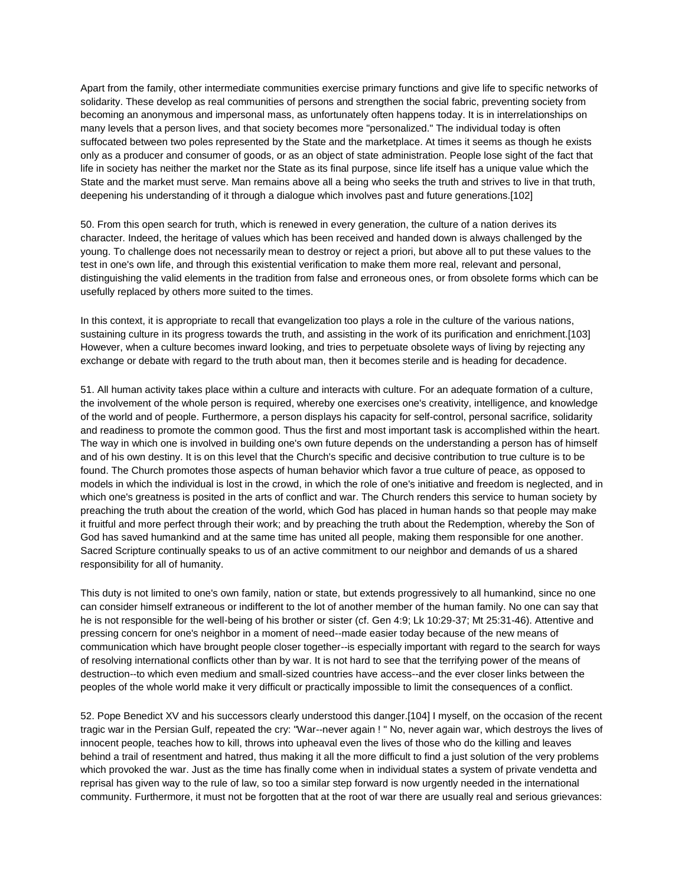Apart from the family, other intermediate communities exercise primary functions and give life to specific networks of solidarity. These develop as real communities of persons and strengthen the social fabric, preventing society from becoming an anonymous and impersonal mass, as unfortunately often happens today. It is in interrelationships on many levels that a person lives, and that society becomes more "personalized." The individual today is often suffocated between two poles represented by the State and the marketplace. At times it seems as though he exists only as a producer and consumer of goods, or as an object of state administration. People lose sight of the fact that life in society has neither the market nor the State as its final purpose, since life itself has a unique value which the State and the market must serve. Man remains above all a being who seeks the truth and strives to live in that truth, deepening his understanding of it through a dialogue which involves past and future generations.[102]

50. From this open search for truth, which is renewed in every generation, the culture of a nation derives its character. Indeed, the heritage of values which has been received and handed down is always challenged by the young. To challenge does not necessarily mean to destroy or reject a priori, but above all to put these values to the test in one's own life, and through this existential verification to make them more real, relevant and personal, distinguishing the valid elements in the tradition from false and erroneous ones, or from obsolete forms which can be usefully replaced by others more suited to the times.

In this context, it is appropriate to recall that evangelization too plays a role in the culture of the various nations, sustaining culture in its progress towards the truth, and assisting in the work of its purification and enrichment.[103] However, when a culture becomes inward looking, and tries to perpetuate obsolete ways of living by rejecting any exchange or debate with regard to the truth about man, then it becomes sterile and is heading for decadence.

51. All human activity takes place within a culture and interacts with culture. For an adequate formation of a culture, the involvement of the whole person is required, whereby one exercises one's creativity, intelligence, and knowledge of the world and of people. Furthermore, a person displays his capacity for self-control, personal sacrifice, solidarity and readiness to promote the common good. Thus the first and most important task is accomplished within the heart. The way in which one is involved in building one's own future depends on the understanding a person has of himself and of his own destiny. It is on this level that the Church's specific and decisive contribution to true culture is to be found. The Church promotes those aspects of human behavior which favor a true culture of peace, as opposed to models in which the individual is lost in the crowd, in which the role of one's initiative and freedom is neglected, and in which one's greatness is posited in the arts of conflict and war. The Church renders this service to human society by preaching the truth about the creation of the world, which God has placed in human hands so that people may make it fruitful and more perfect through their work; and by preaching the truth about the Redemption, whereby the Son of God has saved humankind and at the same time has united all people, making them responsible for one another. Sacred Scripture continually speaks to us of an active commitment to our neighbor and demands of us a shared responsibility for all of humanity.

This duty is not limited to one's own family, nation or state, but extends progressively to all humankind, since no one can consider himself extraneous or indifferent to the lot of another member of the human family. No one can say that he is not responsible for the well-being of his brother or sister (cf. Gen 4:9; Lk 10:29-37; Mt 25:31-46). Attentive and pressing concern for one's neighbor in a moment of need--made easier today because of the new means of communication which have brought people closer together--is especially important with regard to the search for ways of resolving international conflicts other than by war. It is not hard to see that the terrifying power of the means of destruction--to which even medium and small-sized countries have access--and the ever closer links between the peoples of the whole world make it very difficult or practically impossible to limit the consequences of a conflict.

52. Pope Benedict XV and his successors clearly understood this danger.[104] I myself, on the occasion of the recent tragic war in the Persian Gulf, repeated the cry: "War--never again ! " No, never again war, which destroys the lives of innocent people, teaches how to kill, throws into upheaval even the lives of those who do the killing and leaves behind a trail of resentment and hatred, thus making it all the more difficult to find a just solution of the very problems which provoked the war. Just as the time has finally come when in individual states a system of private vendetta and reprisal has given way to the rule of law, so too a similar step forward is now urgently needed in the international community. Furthermore, it must not be forgotten that at the root of war there are usually real and serious grievances: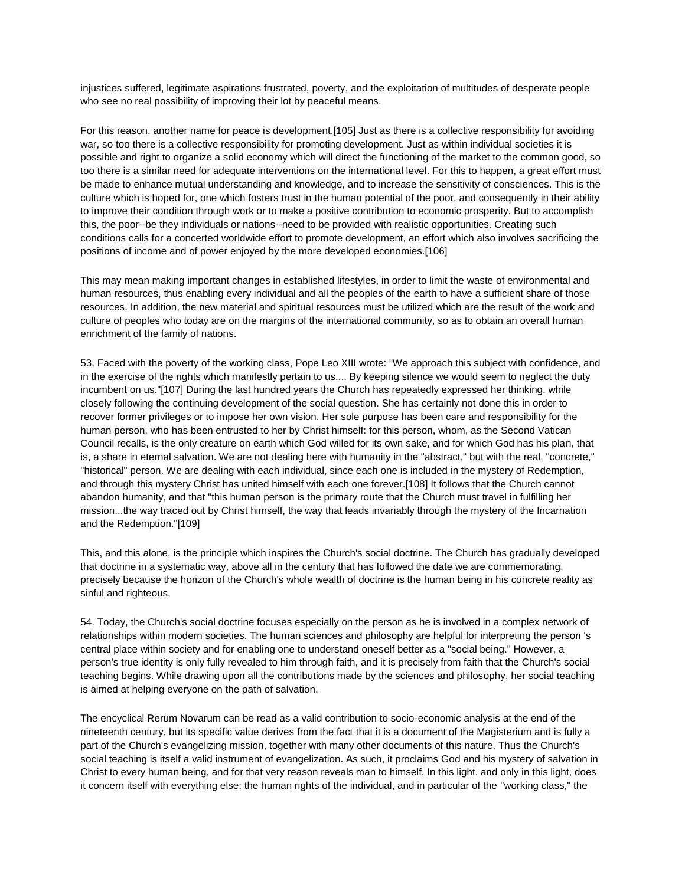injustices suffered, legitimate aspirations frustrated, poverty, and the exploitation of multitudes of desperate people who see no real possibility of improving their lot by peaceful means.

For this reason, another name for peace is development.[105] Just as there is a collective responsibility for avoiding war, so too there is a collective responsibility for promoting development. Just as within individual societies it is possible and right to organize a solid economy which will direct the functioning of the market to the common good, so too there is a similar need for adequate interventions on the international level. For this to happen, a great effort must be made to enhance mutual understanding and knowledge, and to increase the sensitivity of consciences. This is the culture which is hoped for, one which fosters trust in the human potential of the poor, and consequently in their ability to improve their condition through work or to make a positive contribution to economic prosperity. But to accomplish this, the poor--be they individuals or nations--need to be provided with realistic opportunities. Creating such conditions calls for a concerted worldwide effort to promote development, an effort which also involves sacrificing the positions of income and of power enjoyed by the more developed economies.[106]

This may mean making important changes in established lifestyles, in order to limit the waste of environmental and human resources, thus enabling every individual and all the peoples of the earth to have a sufficient share of those resources. In addition, the new material and spiritual resources must be utilized which are the result of the work and culture of peoples who today are on the margins of the international community, so as to obtain an overall human enrichment of the family of nations.

53. Faced with the poverty of the working class, Pope Leo XIII wrote: "We approach this subject with confidence, and in the exercise of the rights which manifestly pertain to us.... By keeping silence we would seem to neglect the duty incumbent on us."[107] During the last hundred years the Church has repeatedly expressed her thinking, while closely following the continuing development of the social question. She has certainly not done this in order to recover former privileges or to impose her own vision. Her sole purpose has been care and responsibility for the human person, who has been entrusted to her by Christ himself: for this person, whom, as the Second Vatican Council recalls, is the only creature on earth which God willed for its own sake, and for which God has his plan, that is, a share in eternal salvation. We are not dealing here with humanity in the "abstract," but with the real, "concrete," "historical" person. We are dealing with each individual, since each one is included in the mystery of Redemption, and through this mystery Christ has united himself with each one forever.[108] It follows that the Church cannot abandon humanity, and that "this human person is the primary route that the Church must travel in fulfilling her mission...the way traced out by Christ himself, the way that leads invariably through the mystery of the Incarnation and the Redemption."[109]

This, and this alone, is the principle which inspires the Church's social doctrine. The Church has gradually developed that doctrine in a systematic way, above all in the century that has followed the date we are commemorating, precisely because the horizon of the Church's whole wealth of doctrine is the human being in his concrete reality as sinful and righteous.

54. Today, the Church's social doctrine focuses especially on the person as he is involved in a complex network of relationships within modern societies. The human sciences and philosophy are helpful for interpreting the person 's central place within society and for enabling one to understand oneself better as a "social being." However, a person's true identity is only fully revealed to him through faith, and it is precisely from faith that the Church's social teaching begins. While drawing upon all the contributions made by the sciences and philosophy, her social teaching is aimed at helping everyone on the path of salvation.

The encyclical Rerum Novarum can be read as a valid contribution to socio-economic analysis at the end of the nineteenth century, but its specific value derives from the fact that it is a document of the Magisterium and is fully a part of the Church's evangelizing mission, together with many other documents of this nature. Thus the Church's social teaching is itself a valid instrument of evangelization. As such, it proclaims God and his mystery of salvation in Christ to every human being, and for that very reason reveals man to himself. In this light, and only in this light, does it concern itself with everything else: the human rights of the individual, and in particular of the "working class," the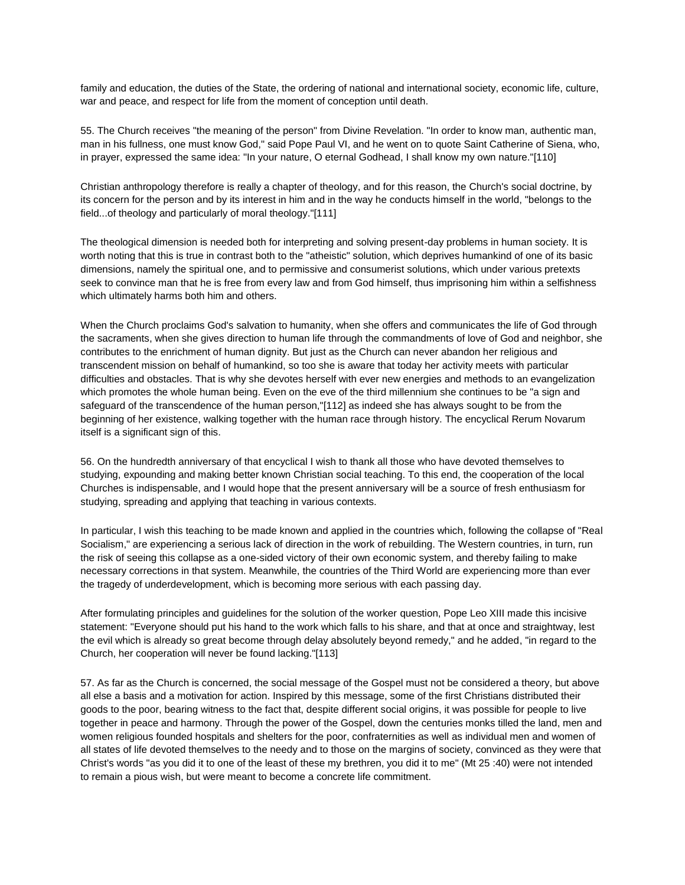family and education, the duties of the State, the ordering of national and international society, economic life, culture, war and peace, and respect for life from the moment of conception until death.

55. The Church receives "the meaning of the person" from Divine Revelation. "In order to know man, authentic man, man in his fullness, one must know God," said Pope Paul VI, and he went on to quote Saint Catherine of Siena, who, in prayer, expressed the same idea: "In your nature, O eternal Godhead, I shall know my own nature."[110]

Christian anthropology therefore is really a chapter of theology, and for this reason, the Church's social doctrine, by its concern for the person and by its interest in him and in the way he conducts himself in the world, "belongs to the field...of theology and particularly of moral theology."[111]

The theological dimension is needed both for interpreting and solving present-day problems in human society. It is worth noting that this is true in contrast both to the "atheistic" solution, which deprives humankind of one of its basic dimensions, namely the spiritual one, and to permissive and consumerist solutions, which under various pretexts seek to convince man that he is free from every law and from God himself, thus imprisoning him within a selfishness which ultimately harms both him and others.

When the Church proclaims God's salvation to humanity, when she offers and communicates the life of God through the sacraments, when she gives direction to human life through the commandments of love of God and neighbor, she contributes to the enrichment of human dignity. But just as the Church can never abandon her religious and transcendent mission on behalf of humankind, so too she is aware that today her activity meets with particular difficulties and obstacles. That is why she devotes herself with ever new energies and methods to an evangelization which promotes the whole human being. Even on the eve of the third millennium she continues to be "a sign and safeguard of the transcendence of the human person,"[112] as indeed she has always sought to be from the beginning of her existence, walking together with the human race through history. The encyclical Rerum Novarum itself is a significant sign of this.

56. On the hundredth anniversary of that encyclical I wish to thank all those who have devoted themselves to studying, expounding and making better known Christian social teaching. To this end, the cooperation of the local Churches is indispensable, and I would hope that the present anniversary will be a source of fresh enthusiasm for studying, spreading and applying that teaching in various contexts.

In particular, I wish this teaching to be made known and applied in the countries which, following the collapse of "Real Socialism," are experiencing a serious lack of direction in the work of rebuilding. The Western countries, in turn, run the risk of seeing this collapse as a one-sided victory of their own economic system, and thereby failing to make necessary corrections in that system. Meanwhile, the countries of the Third World are experiencing more than ever the tragedy of underdevelopment, which is becoming more serious with each passing day.

After formulating principles and guidelines for the solution of the worker question, Pope Leo XIII made this incisive statement: "Everyone should put his hand to the work which falls to his share, and that at once and straightway, lest the evil which is already so great become through delay absolutely beyond remedy," and he added, "in regard to the Church, her cooperation will never be found lacking."[113]

57. As far as the Church is concerned, the social message of the Gospel must not be considered a theory, but above all else a basis and a motivation for action. Inspired by this message, some of the first Christians distributed their goods to the poor, bearing witness to the fact that, despite different social origins, it was possible for people to live together in peace and harmony. Through the power of the Gospel, down the centuries monks tilled the land, men and women religious founded hospitals and shelters for the poor, confraternities as well as individual men and women of all states of life devoted themselves to the needy and to those on the margins of society, convinced as they were that Christ's words "as you did it to one of the least of these my brethren, you did it to me" (Mt 25 :40) were not intended to remain a pious wish, but were meant to become a concrete life commitment.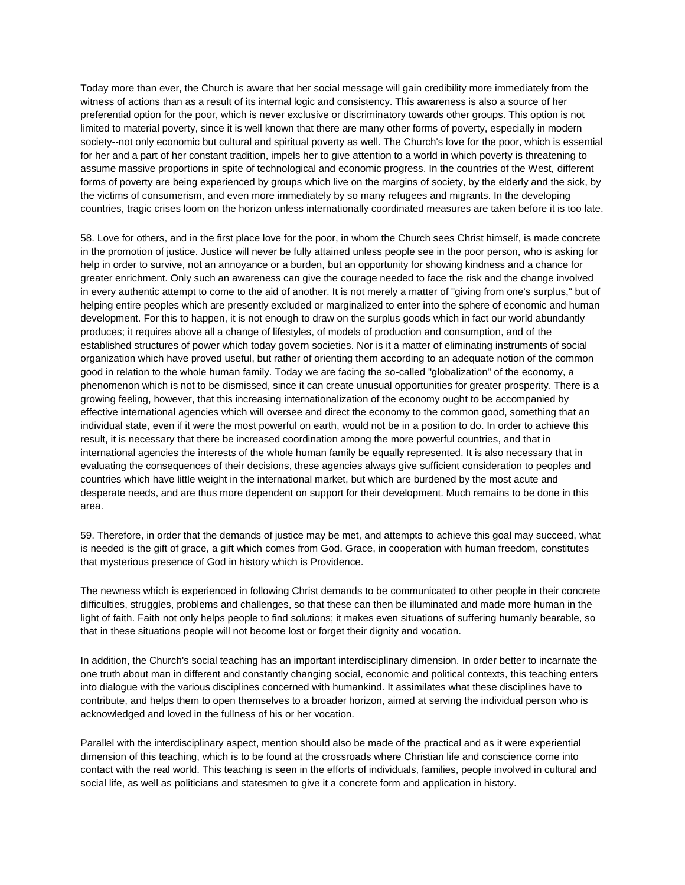Today more than ever, the Church is aware that her social message will gain credibility more immediately from the witness of actions than as a result of its internal logic and consistency. This awareness is also a source of her preferential option for the poor, which is never exclusive or discriminatory towards other groups. This option is not limited to material poverty, since it is well known that there are many other forms of poverty, especially in modern society--not only economic but cultural and spiritual poverty as well. The Church's love for the poor, which is essential for her and a part of her constant tradition, impels her to give attention to a world in which poverty is threatening to assume massive proportions in spite of technological and economic progress. In the countries of the West, different forms of poverty are being experienced by groups which live on the margins of society, by the elderly and the sick, by the victims of consumerism, and even more immediately by so many refugees and migrants. In the developing countries, tragic crises loom on the horizon unless internationally coordinated measures are taken before it is too late.

58. Love for others, and in the first place love for the poor, in whom the Church sees Christ himself, is made concrete in the promotion of justice. Justice will never be fully attained unless people see in the poor person, who is asking for help in order to survive, not an annoyance or a burden, but an opportunity for showing kindness and a chance for greater enrichment. Only such an awareness can give the courage needed to face the risk and the change involved in every authentic attempt to come to the aid of another. It is not merely a matter of "giving from one's surplus," but of helping entire peoples which are presently excluded or marginalized to enter into the sphere of economic and human development. For this to happen, it is not enough to draw on the surplus goods which in fact our world abundantly produces; it requires above all a change of lifestyles, of models of production and consumption, and of the established structures of power which today govern societies. Nor is it a matter of eliminating instruments of social organization which have proved useful, but rather of orienting them according to an adequate notion of the common good in relation to the whole human family. Today we are facing the so-called "globalization" of the economy, a phenomenon which is not to be dismissed, since it can create unusual opportunities for greater prosperity. There is a growing feeling, however, that this increasing internationalization of the economy ought to be accompanied by effective international agencies which will oversee and direct the economy to the common good, something that an individual state, even if it were the most powerful on earth, would not be in a position to do. In order to achieve this result, it is necessary that there be increased coordination among the more powerful countries, and that in international agencies the interests of the whole human family be equally represented. It is also necessary that in evaluating the consequences of their decisions, these agencies always give sufficient consideration to peoples and countries which have little weight in the international market, but which are burdened by the most acute and desperate needs, and are thus more dependent on support for their development. Much remains to be done in this area.

59. Therefore, in order that the demands of justice may be met, and attempts to achieve this goal may succeed, what is needed is the gift of grace, a gift which comes from God. Grace, in cooperation with human freedom, constitutes that mysterious presence of God in history which is Providence.

The newness which is experienced in following Christ demands to be communicated to other people in their concrete difficulties, struggles, problems and challenges, so that these can then be illuminated and made more human in the light of faith. Faith not only helps people to find solutions; it makes even situations of suffering humanly bearable, so that in these situations people will not become lost or forget their dignity and vocation.

In addition, the Church's social teaching has an important interdisciplinary dimension. In order better to incarnate the one truth about man in different and constantly changing social, economic and political contexts, this teaching enters into dialogue with the various disciplines concerned with humankind. It assimilates what these disciplines have to contribute, and helps them to open themselves to a broader horizon, aimed at serving the individual person who is acknowledged and loved in the fullness of his or her vocation.

Parallel with the interdisciplinary aspect, mention should also be made of the practical and as it were experiential dimension of this teaching, which is to be found at the crossroads where Christian life and conscience come into contact with the real world. This teaching is seen in the efforts of individuals, families, people involved in cultural and social life, as well as politicians and statesmen to give it a concrete form and application in history.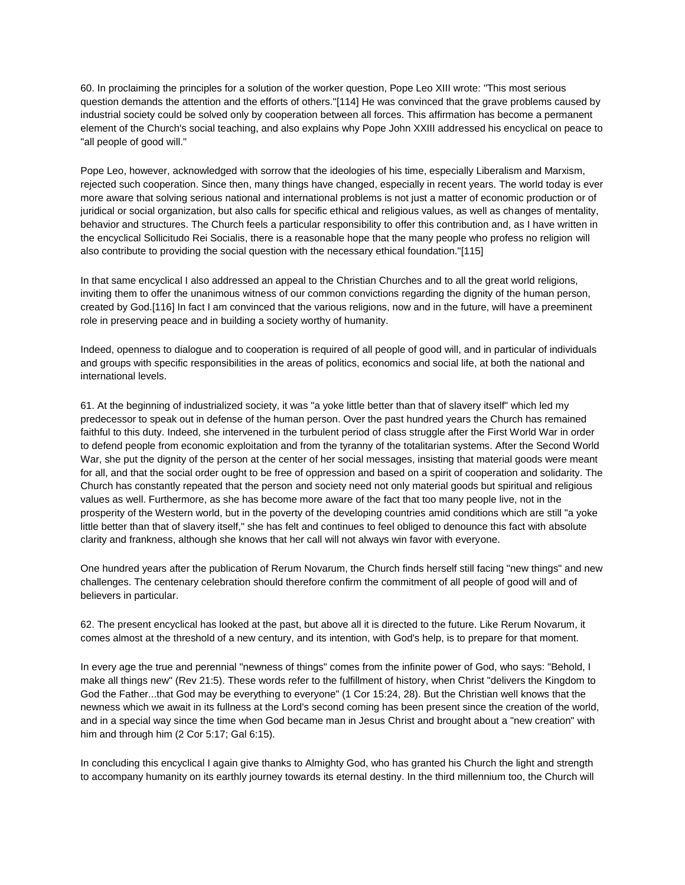60. In proclaiming the principles for a solution of the worker question, Pope Leo XIII wrote: "This most serious question demands the attention and the efforts of others."[114] He was convinced that the grave problems caused by industrial society could be solved only by cooperation between all forces. This affirmation has become a permanent element of the Church's social teaching, and also explains why Pope John XXIII addressed his encyclical on peace to "all people of good will."

Pope Leo, however, acknowledged with sorrow that the ideologies of his time, especially Liberalism and Marxism, rejected such cooperation. Since then, many things have changed, especially in recent years. The world today is ever more aware that solving serious national and international problems is not just a matter of economic production or of juridical or social organization, but also calls for specific ethical and religious values, as well as changes of mentality, behavior and structures. The Church feels a particular responsibility to offer this contribution and, as I have written in the encyclical Sollicitudo Rei Socialis, there is a reasonable hope that the many people who profess no religion will also contribute to providing the social question with the necessary ethical foundation."[115]

In that same encyclical I also addressed an appeal to the Christian Churches and to all the great world religions, inviting them to offer the unanimous witness of our common convictions regarding the dignity of the human person, created by God.[116] In fact I am convinced that the various religions, now and in the future, will have a preeminent role in preserving peace and in building a society worthy of humanity.

Indeed, openness to dialogue and to cooperation is required of all people of good will, and in particular of individuals and groups with specific responsibilities in the areas of politics, economics and social life, at both the national and international levels.

61. At the beginning of industrialized society, it was "a yoke little better than that of slavery itself" which led my predecessor to speak out in defense of the human person. Over the past hundred years the Church has remained faithful to this duty. Indeed, she intervened in the turbulent period of class struggle after the First World War in order to defend people from economic exploitation and from the tyranny of the totalitarian systems. After the Second World War, she put the dignity of the person at the center of her social messages, insisting that material goods were meant for all, and that the social order ought to be free of oppression and based on a spirit of cooperation and solidarity. The Church has constantly repeated that the person and society need not only material goods but spiritual and religious values as well. Furthermore, as she has become more aware of the fact that too many people live, not in the prosperity of the Western world, but in the poverty of the developing countries amid conditions which are still "a yoke little better than that of slavery itself," she has felt and continues to feel obliged to denounce this fact with absolute clarity and frankness, although she knows that her call will not always win favor with everyone.

One hundred years after the publication of Rerum Novarum, the Church finds herself still facing "new things" and new challenges. The centenary celebration should therefore confirm the commitment of all people of good will and of believers in particular.

62. The present encyclical has looked at the past, but above all it is directed to the future. Like Rerum Novarum, it comes almost at the threshold of a new century, and its intention, with God's help, is to prepare for that moment.

In every age the true and perennial "newness of things" comes from the infinite power of God, who says: "Behold, I make all things new" (Rev 21:5). These words refer to the fulfillment of history, when Christ "delivers the Kingdom to God the Father...that God may be everything to everyone" (1 Cor 15:24, 28). But the Christian well knows that the newness which we await in its fullness at the Lord's second coming has been present since the creation of the world, and in a special way since the time when God became man in Jesus Christ and brought about a "new creation" with him and through him (2 Cor 5:17; Gal 6:15).

In concluding this encyclical I again give thanks to Almighty God, who has granted his Church the light and strength to accompany humanity on its earthly journey towards its eternal destiny. In the third millennium too, the Church will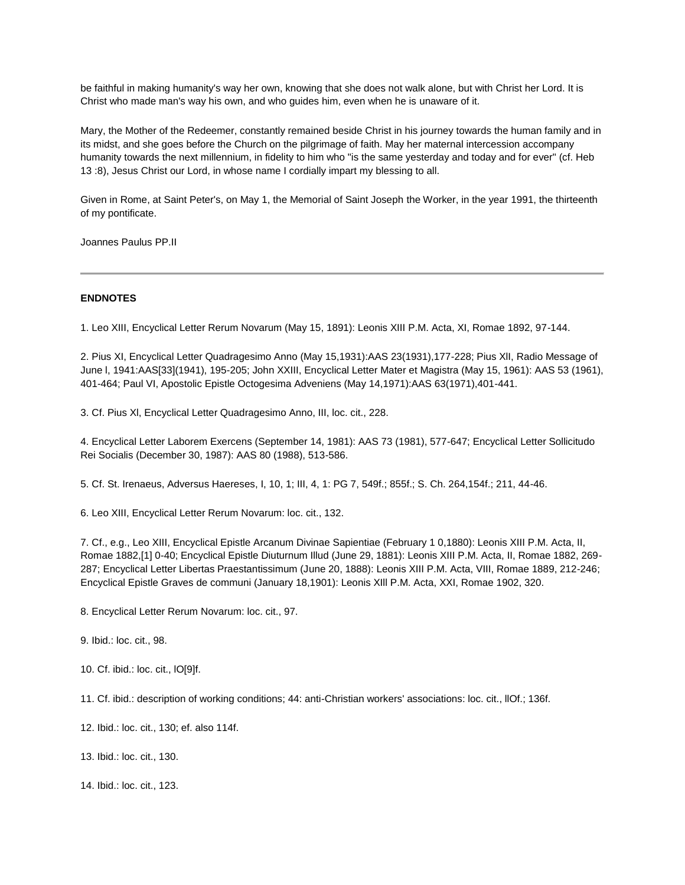be faithful in making humanity's way her own, knowing that she does not walk alone, but with Christ her Lord. It is Christ who made man's way his own, and who guides him, even when he is unaware of it.

Mary, the Mother of the Redeemer, constantly remained beside Christ in his journey towards the human family and in its midst, and she goes before the Church on the pilgrimage of faith. May her maternal intercession accompany humanity towards the next millennium, in fidelity to him who "is the same yesterday and today and for ever" (cf. Heb 13 :8), Jesus Christ our Lord, in whose name I cordially impart my blessing to all.

Given in Rome, at Saint Peter's, on May 1, the Memorial of Saint Joseph the Worker, in the year 1991, the thirteenth of my pontificate.

Joannes Paulus PP.II

## **ENDNOTES**

1. Leo XIII, Encyclical Letter Rerum Novarum (May 15, 1891): Leonis XIII P.M. Acta, XI, Romae 1892, 97-144.

2. Pius XI, Encyclical Letter Quadragesimo Anno (May 15,1931):AAS 23(1931),177-228; Pius XlI, Radio Message of June l, 1941:AAS[33](1941), 195-205; John XXIII, Encyclical Letter Mater et Magistra (May 15, 1961): AAS 53 (1961), 401-464; Paul VI, Apostolic Epistle Octogesima Adveniens (May 14,1971):AAS 63(1971),401-441.

3. Cf. Pius Xl, Encyclical Letter Quadragesimo Anno, III, loc. cit., 228.

4. Encyclical Letter Laborem Exercens (September 14, 1981): AAS 73 (1981), 577-647; Encyclical Letter Sollicitudo Rei Socialis (December 30, 1987): AAS 80 (1988), 513-586.

5. Cf. St. Irenaeus, Adversus Haereses, I, 10, 1; III, 4, 1: PG 7, 549f.; 855f.; S. Ch. 264,154f.; 211, 44-46.

6. Leo XIII, Encyclical Letter Rerum Novarum: loc. cit., 132.

7. Cf., e.g., Leo XIII, Encyclical Epistle Arcanum Divinae Sapientiae (February 1 0,1880): Leonis XIII P.M. Acta, II, Romae 1882,[1] 0-40; Encyclical Epistle Diuturnum Illud (June 29, 1881): Leonis XIII P.M. Acta, II, Romae 1882, 269- 287; Encyclical Letter Libertas Praestantissimum (June 20, 1888): Leonis XIII P.M. Acta, VIII, Romae 1889, 212-246; Encyclical Epistle Graves de communi (January 18,1901): Leonis XIll P.M. Acta, XXI, Romae 1902, 320.

8. Encyclical Letter Rerum Novarum: loc. cit., 97.

- 9. Ibid.: loc. cit., 98.
- 10. Cf. ibid.: loc. cit., lO[9]f.

11. Cf. ibid.: description of working conditions; 44: anti-Christian workers' associations: loc. cit., llOf.; 136f.

- 12. Ibid.: loc. cit., 130; ef. also 114f.
- 13. Ibid.: loc. cit., 130.
- 14. Ibid.: loc. cit., 123.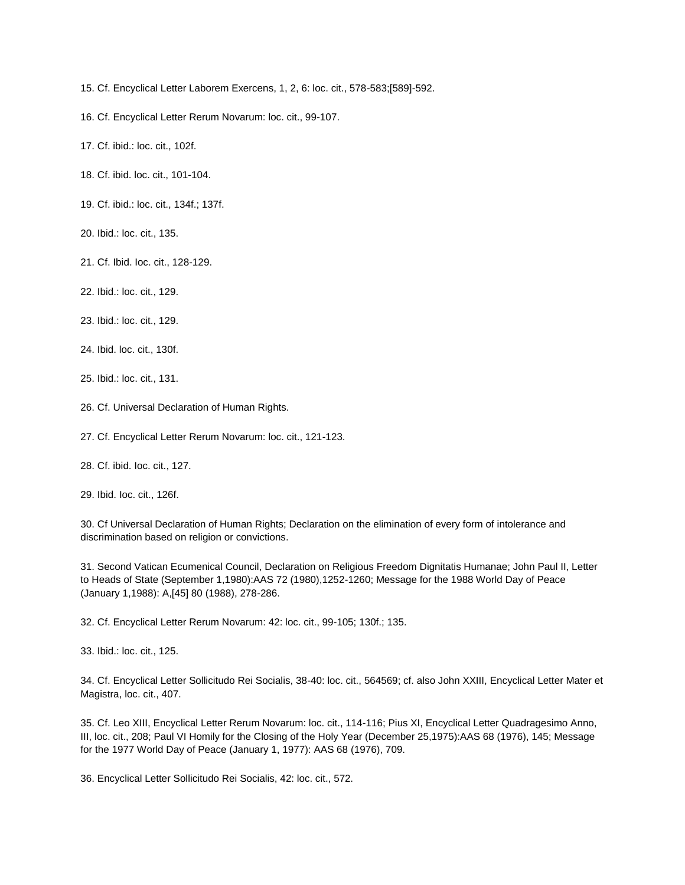- 15. Cf. Encyclical Letter Laborem Exercens, 1, 2, 6: loc. cit., 578-583;[589]-592.
- 16. Cf. Encyclical Letter Rerum Novarum: loc. cit., 99-107.
- 17. Cf. ibid.: loc. cit., 102f.
- 18. Cf. ibid. loc. cit., 101-104.
- 19. Cf. ibid.: loc. cit., 134f.; 137f.
- 20. Ibid.: loc. cit., 135.
- 21. Cf. Ibid. Ioc. cit., 128-129.
- 22. Ibid.: loc. cit., 129.
- 23. Ibid.: loc. cit., 129.
- 24. Ibid. loc. cit., 130f.
- 25. Ibid.: loc. cit., 131.
- 26. Cf. Universal Declaration of Human Rights.
- 27. Cf. Encyclical Letter Rerum Novarum: loc. cit., 121-123.
- 28. Cf. ibid. Ioc. cit., 127.
- 29. Ibid. Ioc. cit., 126f.

30. Cf Universal Declaration of Human Rights; Declaration on the elimination of every form of intolerance and discrimination based on religion or convictions.

31. Second Vatican Ecumenical Council, Declaration on Religious Freedom Dignitatis Humanae; John Paul II, Letter to Heads of State (September 1,1980):AAS 72 (1980),1252-1260; Message for the 1988 World Day of Peace (January 1,1988): A,[45] 80 (1988), 278-286.

32. Cf. Encyclical Letter Rerum Novarum: 42: loc. cit., 99-105; 130f.; 135.

33. Ibid.: loc. cit., 125.

34. Cf. Encyclical Letter Sollicitudo Rei Socialis, 38-40: loc. cit., 564569; cf. also John XXIII, Encyclical Letter Mater et Magistra, loc. cit., 407.

35. Cf. Leo XIII, Encyclical Letter Rerum Novarum: loc. cit., 114-116; Pius XI, Encyclical Letter Quadragesimo Anno, III, loc. cit., 208; Paul VI Homily for the Closing of the Holy Year (December 25,1975):AAS 68 (1976), 145; Message for the 1977 World Day of Peace (January 1, 1977): AAS 68 (1976), 709.

36. Encyclical Letter Sollicitudo Rei Socialis, 42: loc. cit., 572.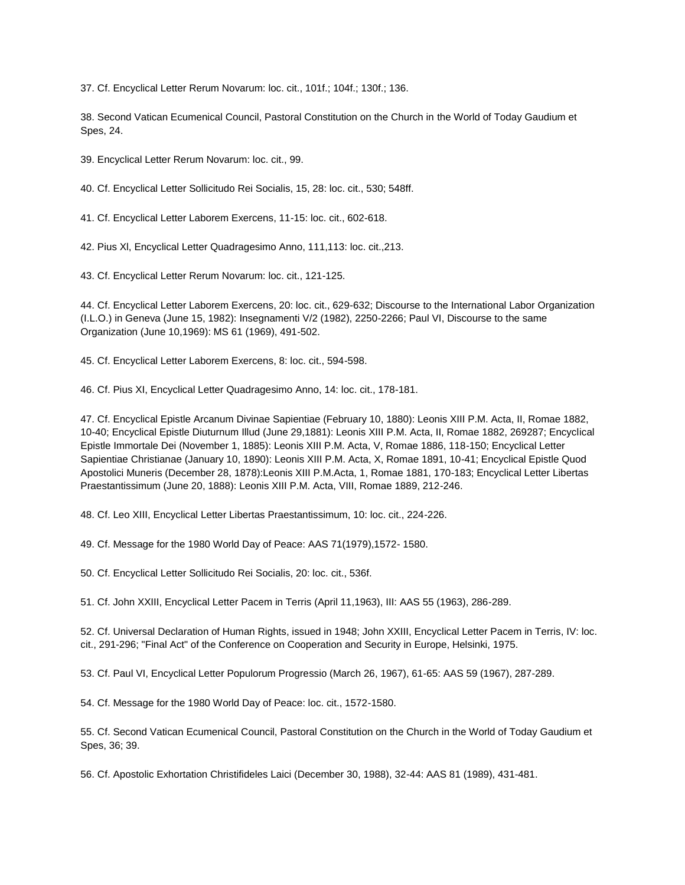37. Cf. Encyclical Letter Rerum Novarum: loc. cit., 101f.; 104f.; 130f.; 136.

38. Second Vatican Ecumenical Council, Pastoral Constitution on the Church in the World of Today Gaudium et Spes, 24.

39. Encyclical Letter Rerum Novarum: loc. cit., 99.

40. Cf. Encyclical Letter Sollicitudo Rei Socialis, 15, 28: loc. cit., 530; 548ff.

41. Cf. Encyclical Letter Laborem Exercens, 11-15: loc. cit., 602-618.

42. Pius Xl, Encyclical Letter Quadragesimo Anno, 111,113: loc. cit.,213.

43. Cf. Encyclical Letter Rerum Novarum: loc. cit., 121-125.

44. Cf. Encyclical Letter Laborem Exercens, 20: loc. cit., 629-632; Discourse to the International Labor Organization (I.L.O.) in Geneva (June 15, 1982): Insegnamenti V/2 (1982), 2250-2266; Paul VI, Discourse to the same Organization (June 10,1969): MS 61 (1969), 491-502.

45. Cf. Encyclical Letter Laborem Exercens, 8: loc. cit., 594-598.

46. Cf. Pius XI, Encyclical Letter Quadragesimo Anno, 14: loc. cit., 178-181.

47. Cf. Encyclical Epistle Arcanum Divinae Sapientiae (February 10, 1880): Leonis XIII P.M. Acta, II, Romae 1882, 10-40; Encyclical Epistle Diuturnum Illud (June 29,1881): Leonis XIII P.M. Acta, II, Romae 1882, 269287; Encyclical Epistle Immortale Dei (November 1, 1885): Leonis XIII P.M. Acta, V, Romae 1886, 118-150; Encyclical Letter Sapientiae Christianae (January 10, 1890): Leonis XIII P.M. Acta, X, Romae 1891, 10-41; Encyclical Epistle Quod Apostolici Muneris (December 28, 1878):Leonis XIII P.M.Acta, 1, Romae 1881, 170-183; Encyclical Letter Libertas Praestantissimum (June 20, 1888): Leonis XIII P.M. Acta, VIII, Romae 1889, 212-246.

48. Cf. Leo XIII, Encyclical Letter Libertas Praestantissimum, 10: loc. cit., 224-226.

49. Cf. Message for the 1980 World Day of Peace: AAS 71(1979),1572- 1580.

50. Cf. Encyclical Letter Sollicitudo Rei Socialis, 20: loc. cit., 536f.

51. Cf. John XXIII, Encyclical Letter Pacem in Terris (April 11,1963), III: AAS 55 (1963), 286-289.

52. Cf. Universal Declaration of Human Rights, issued in 1948; John XXIII, Encyclical Letter Pacem in Terris, IV: loc. cit., 291-296; "Final Act" of the Conference on Cooperation and Security in Europe, Helsinki, 1975.

53. Cf. Paul VI, Encyclical Letter Populorum Progressio (March 26, 1967), 61-65: AAS 59 (1967), 287-289.

54. Cf. Message for the 1980 World Day of Peace: loc. cit., 1572-1580.

55. Cf. Second Vatican Ecumenical Council, Pastoral Constitution on the Church in the World of Today Gaudium et Spes, 36; 39.

56. Cf. Apostolic Exhortation Christifideles Laici (December 30, 1988), 32-44: AAS 81 (1989), 431-481.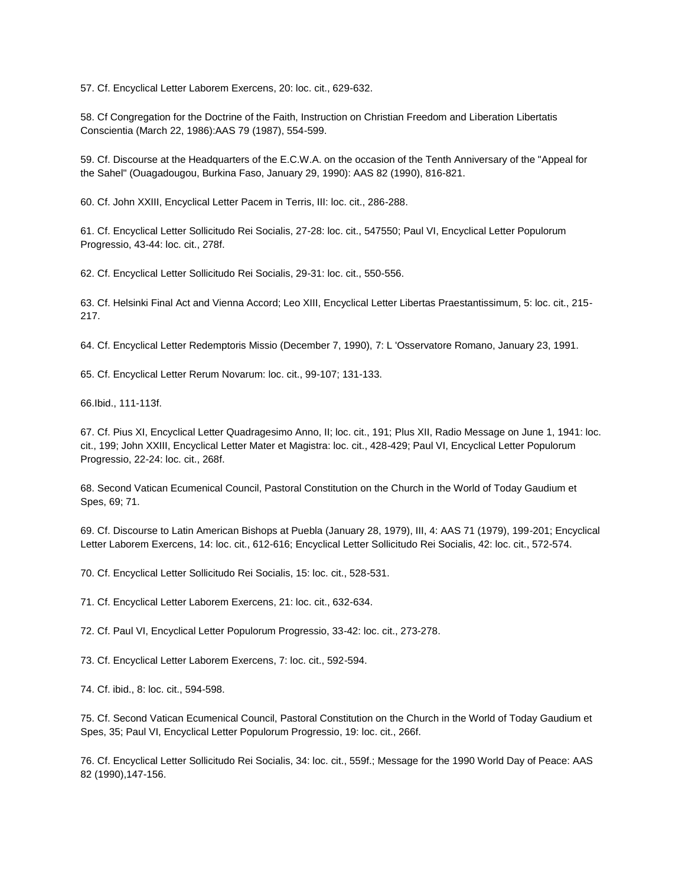57. Cf. Encyclical Letter Laborem Exercens, 20: loc. cit., 629-632.

58. Cf Congregation for the Doctrine of the Faith, Instruction on Christian Freedom and Liberation Libertatis Conscientia (March 22, 1986):AAS 79 (1987), 554-599.

59. Cf. Discourse at the Headquarters of the E.C.W.A. on the occasion of the Tenth Anniversary of the "Appeal for the Sahel" (Ouagadougou, Burkina Faso, January 29, 1990): AAS 82 (1990), 816-821.

60. Cf. John XXIII, Encyclical Letter Pacem in Terris, III: loc. cit., 286-288.

61. Cf. Encyclical Letter Sollicitudo Rei Socialis, 27-28: loc. cit., 547550; Paul VI, Encyclical Letter Populorum Progressio, 43-44: loc. cit., 278f.

62. Cf. Encyclical Letter Sollicitudo Rei Socialis, 29-31: loc. cit., 550-556.

63. Cf. Helsinki Final Act and Vienna Accord; Leo XIII, Encyclical Letter Libertas Praestantissimum, 5: loc. cit., 215- 217.

64. Cf. Encyclical Letter Redemptoris Missio (December 7, 1990), 7: L 'Osservatore Romano, January 23, 1991.

65. Cf. Encyclical Letter Rerum Novarum: loc. cit., 99-107; 131-133.

66.Ibid., 111-113f.

67. Cf. Pius XI, Encyclical Letter Quadragesimo Anno, II; loc. cit., 191; Plus XII, Radio Message on June 1, 1941: loc. cit., 199; John XXIII, Encyclical Letter Mater et Magistra: loc. cit., 428-429; Paul VI, Encyclical Letter Populorum Progressio, 22-24: loc. cit., 268f.

68. Second Vatican Ecumenical Council, Pastoral Constitution on the Church in the World of Today Gaudium et Spes, 69; 71.

69. Cf. Discourse to Latin American Bishops at Puebla (January 28, 1979), III, 4: AAS 71 (1979), 199-201; Encyclical Letter Laborem Exercens, 14: loc. cit., 612-616; Encyclical Letter Sollicitudo Rei Socialis, 42: loc. cit., 572-574.

70. Cf. Encyclical Letter Sollicitudo Rei Socialis, 15: loc. cit., 528-531.

71. Cf. Encyclical Letter Laborem Exercens, 21: loc. cit., 632-634.

72. Cf. Paul VI, Encyclical Letter Populorum Progressio, 33-42: loc. cit., 273-278.

73. Cf. Encyclical Letter Laborem Exercens, 7: loc. cit., 592-594.

74. Cf. ibid., 8: loc. cit., 594-598.

75. Cf. Second Vatican Ecumenical Council, Pastoral Constitution on the Church in the World of Today Gaudium et Spes, 35; Paul VI, Encyclical Letter Populorum Progressio, 19: loc. cit., 266f.

76. Cf. Encyclical Letter Sollicitudo Rei Socialis, 34: loc. cit., 559f.; Message for the 1990 World Day of Peace: AAS 82 (1990),147-156.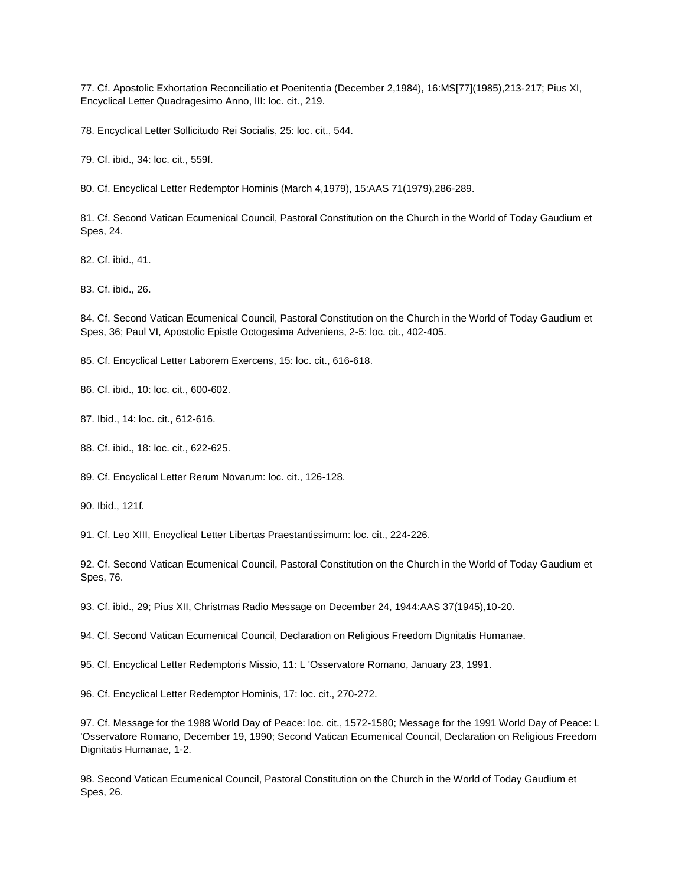77. Cf. Apostolic Exhortation Reconciliatio et Poenitentia (December 2,1984), 16:MS[77](1985),213-217; Pius XI, Encyclical Letter Quadragesimo Anno, III: loc. cit., 219.

78. Encyclical Letter Sollicitudo Rei Socialis, 25: loc. cit., 544.

79. Cf. ibid., 34: loc. cit., 559f.

80. Cf. Encyclical Letter Redemptor Hominis (March 4,1979), 15:AAS 71(1979),286-289.

81. Cf. Second Vatican Ecumenical Council, Pastoral Constitution on the Church in the World of Today Gaudium et Spes, 24.

82. Cf. ibid., 41.

83. Cf. ibid., 26.

84. Cf. Second Vatican Ecumenical Council, Pastoral Constitution on the Church in the World of Today Gaudium et Spes, 36; Paul VI, Apostolic Epistle Octogesima Adveniens, 2-5: loc. cit., 402-405.

85. Cf. Encyclical Letter Laborem Exercens, 15: loc. cit., 616-618.

86. Cf. ibid., 10: loc. cit., 600-602.

87. Ibid., 14: loc. cit., 612-616.

88. Cf. ibid., 18: loc. cit., 622-625.

89. Cf. Encyclical Letter Rerum Novarum: loc. cit., 126-128.

90. Ibid., 121f.

91. Cf. Leo XIII, Encyclical Letter Libertas Praestantissimum: loc. cit., 224-226.

92. Cf. Second Vatican Ecumenical Council, Pastoral Constitution on the Church in the World of Today Gaudium et Spes, 76.

93. Cf. ibid., 29; Pius XII, Christmas Radio Message on December 24, 1944:AAS 37(1945),10-20.

94. Cf. Second Vatican Ecumenical Council, Declaration on Religious Freedom Dignitatis Humanae.

95. Cf. Encyclical Letter Redemptoris Missio, 11: L 'Osservatore Romano, January 23, 1991.

96. Cf. Encyclical Letter Redemptor Hominis, 17: loc. cit., 270-272.

97. Cf. Message for the 1988 World Day of Peace: loc. cit., 1572-1580; Message for the 1991 World Day of Peace: L 'Osservatore Romano, December 19, 1990; Second Vatican Ecumenical Council, Declaration on Religious Freedom Dignitatis Humanae, 1-2.

98. Second Vatican Ecumenical Council, Pastoral Constitution on the Church in the World of Today Gaudium et Spes, 26.